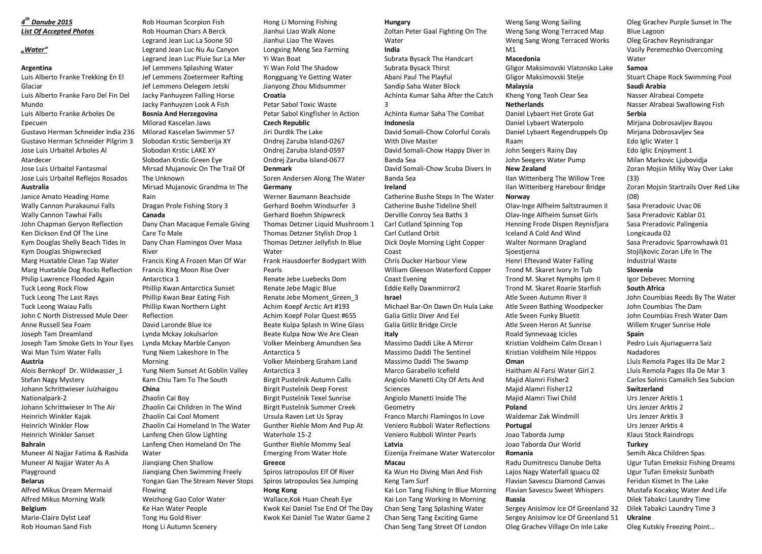## *4 th Danube 2015 List Of Accepted Photos*

## *"Water"*

## **Argentina**

Luis Alberto Franke Trekking En El Glaciar Luis Alberto Franke Faro Del Fin Del Mundo

Luis Alberto Franke Arboles De Epecuen

Gustavo Herman Schneider India 236 Gustavo Herman Schneider Pilgrim 3 Jose Luis Urbaitel Arboles Al Atardecer

## Jose Luis Urbaitel Fantasmal

Jose Luis Urbaitel Reflejos Rosados **Australia** 

Janice Amato Heading Home Wally Cannon Purakaunui Falls Wally Cannon Tawhai Falls John Chapman Geryon Reflection Ken Dickson End Of The Line Kym Douglas Shelly Beach Tides In Kym Douglas Shipwrecked Marg Huxtable Clean Tap Water Marg Huxtable Dog Rocks Reflection Philip Lawrence Flooded Again Tuck Leong Rock Flow Tuck Leong The Last Rays Tuck Leong Waiau Falls John C North Distressed Mule Deer Anne Russell Sea Foam Joseph Tam Dreamland Joseph Tam Smoke Gets In Your Eyes Wai Man Tsim Water Falls **Austria** 

Alois Bernkopf Dr. Wildwasser\_1 Stefan Nagy Mystery Johann Schrittwieser Juizhaigou Nationalpark-2 Johann Schrittwieser In The Air Heinrich Winkler Kajak Heinrich Winkler Flow Heinrich Winkler Sanset **Bahrain** 

Muneer Al Najjar Fatima & Rashida Muneer Al Najjar Water As A Playground **Belarus** 

Alfred Mikus Dream Mermaid Alfred Mikus Morning Walk **Belgium** 

## Marie-Claire Dylst Leaf

Rob Houman Sand Fish

Rob Houman Scorpion Fish Rob Houman Chars A Berck Legrand Jean Luc La Soone 50 Legrand Jean Luc Nu Au Canyon Legrand Jean Luc Pluie Sur La Mer Jef Lemmens Splashing Water Jef Lemmens Zoetermeer Rafting Jef Lemmens Oelegem Jetski Jacky Panhuyzen Falling Horse Jacky Panhuyzen Look A Fish **Bosnia And Herzegovina**  Milorad Kascelan Jaws Milorad Kascelan Swimmer 57 Slobodan Krstic Semberija XY Slobodan Krstic LAKE XY Slobodan Krstic Green Eye Mirsad Mujanovic On The Trail Of The Unknown Mirsad Mujanovic Grandma In The Rain Dragan Prole Fishing Story 3 **Canada**  Dany Chan Macaque Female Giving Care To Male Dany Chan Flamingos Over Masa River Francis King A Frozen Man Of War Francis King Moon Rise Over Antarctica 1 Phillip Kwan Antarctica Sunset Phillip Kwan Bear Eating Fish Phillip Kwan Northern Light Reflection David Laronde Blue Ice Lynda Mckay Jokulsarlon Lynda Mckay Marble Canyon Yung Niem Lakeshore In The Morning Yung Niem Sunset At Goblin Valley Kam Chiu Tam To The South **China**  Zhaolin Cai Boy Zhaolin Cai Children In The Wind Zhaolin Cai Cool Moment Zhaolin Cai Homeland In The Water Lanfeng Chen Glow Lighting Lanfeng Chen Homeland On The Water Jianqiang Chen Shallow Jianqiang Chen Swimming Freely Yongan Gan The Stream Never Stops Flowing Weizhong Gao Color Water Ke Han Water People Tong Hu Gold River Hong Li Autumn Scenery

Hong Li Morning Fishing Jianhui Liao Walk Alone Jianhui Liao The Waves Longxing Meng Sea Farming Yi Wan Boat Yi Wan Fold The Shadow Rongguang Ye Getting Water Jianyong Zhou Midsummer **Croatia**  Petar Sabol Toxic Waste Petar Sabol Kingfisher In Action **Czech Republic**  Jiri Durdik The Lake Ondrej Zaruba Island-0267 Ondrej Zaruba Island-0597 Ondrej Zaruba Island-0677 **Denmark**  Soren Andersen Along The Water **Germany**  Werner Baumann Beachside Gerhard Boehm Windsurfer 3 Gerhard Boehm Shipwreck Thomas Detzner Liquid Mushroom 1 Thomas Detzner Stylish Drop 1 Thomas Detzner Jellyfish In Blue Water Frank Hausdoerfer Bodypart With Pearls Renate Jebe Luebecks Dom Renate Jebe Magic Blue Renate Jebe Moment\_Green\_3 Achim Koepf Arctic Art #193 Achim Koepf Polar Quest #655 Beate Kulpa Splash In Wine Glass Beate Kulpa Now We Are Clean Volker Meinberg Amundsen Sea Antarctica 5 Volker Meinberg Graham Land Antarctica 3 Birgit Pustelnik Autumn Calls Birgit Pustelnik Deep Forest Birgit Pustelnik Texel Sunrise Birgit Pustelnik Summer Creek Ursula Raven Let Us Spray Gunther Riehle Mom And Pup At Waterhole 15-2 Gunther Riehle Mommy Seal Emerging From Water Hole **Greece**  Spiros Iatropoulos Elf Of River Spiros Iatropoulos Sea Jumping

**Hong Kong** 

Wallace,Kok Huan Cheah Eye Kwok Kei Daniel Tse End Of The Day Kwok Kei Daniel Tse Water Game 2

## **Hungary**

Zoltan Peter Gaal Fighting On The Water **India**  Subrata Bysack The Handcart Subrata Bysack Thirst Abani Paul The Playful Sandip Saha Water Block Achinta Kumar Saha After the Catch 3

Achinta Kumar Saha The Combat **Indonesia**  David Somali-Chow Colorful Corals

With Dive Master David Somali-Chow Happy Diver In Banda Sea David Somali-Chow Scuba Divers In Banda Sea

## **Ireland**

Catherine Bushe Steps In The Water Catherine Bushe Tideline Shell Derville Conroy Sea Baths 3 Carl Cutland Spinning Top Carl Cutland Orbit Dick Doyle Morning Light Copper Coast

Chris Ducker Harbour View William Gleeson Waterford Copper Coast Evening Eddie Kelly Dawnmirror2 **Israel** 

Michael Bar-On Dawn On Hula Lake Galia Gitliz Diver And Eel Galia Gitliz Bridge Circle **Italy** 

Massimo Daddi Like A Mirror Massimo Daddi The Sentinel Massimo Daddi The Swamp Marco Garabello Icefield Angiolo Manetti City Of Arts And Sciences Angiolo Manetti Inside The Geometry

Franco Marchi Flamingos In Love Veniero Rubboli Water Reflections Veniero Rubboli Winter Pearls **Latvia** 

## Eizenija Freimane Water Watercolor **Macau**

Ka Wun Ho Diving Man And Fish Keng Tam Surf

Kai Lon Tang Fishing In Blue Morning Kai Lon Tang Working In Morning Chan Seng Tang Splashing Water Chan Seng Tang Exciting Game Chan Seng Tang Street Of London

Weng Sang Wong Sailing Weng Sang Wong Terraced Map Weng Sang Wong Terraced Works M1

#### **Macedonia**

Gligor Maksimovski Vlatonsko Lake Gligor Maksimovski Stelje **Malaysia**

Kheng Yong Teoh Clear Sea **Netherlands** 

# Daniel Lybaert Het Grote Gat

Daniel Lybaert Waterpolo Daniel Lybaert Regendruppels Op Raam

John Seegers Rainy Day John Seegers Water Pump

### **New Zealand**

Ilan Wittenberg The Willow Tree Ilan Wittenberg Harebour Bridge **Norway** 

Olav-Inge Alfheim Saltstraumen II Olav-Inge Alfheim Sunset Girls Henning Frode Dispen Reynisfjara Iceland A Cold And Wind Walter Normann Dragland Sjoestjerna Henri Eftevand Water Falling Trond M. Skaret Ivory In Tub Trond M. Skaret Nymphs Ipm II Trond M. Skaret Roarie Starfish Atle Sveen Autumn River II Atle Sveen Bathing Woodpecker Atle Sveen Funky Bluetit Atle Sveen Heron At Sunrise Roald Synnevaag Icicles Kristian Voldheim Calm Ocean I Kristian Voldheim Nile Hippos **Oman**  Haitham Al Farsi Water Girl 2

Majid Alamri Fisher2 Majid Alamri Fisher12 Majid Alamri Tiwi Child **Poland** 

Waldemar Zak Windmill **Portugal** 

Joao Taborda Jump Joao Taborda Our World

## **Romania**

Radu Dumitrescu Danube Delta Lajos Nagy Waterfall Iguacu 02 Flavian Savescu Diamond Canvas Flavian Savescu Sweet Whispers **Russia** 

Sergey Anisimov Ice Of Greenland 32 Sergey Anisimov Ice Of Greenland 51 Oleg Grachev Village On Inle Lake

Oleg Grachev Purple Sunset In The Blue Lagoon Oleg Grachev Reynisdrangar Vasily Peremezhko Overcoming Water **Samoa**  Stuart Chape Rock Swimming Pool **Saudi Arabia**  Nasser Alrabeai Compete Nasser Alrabeai Swallowing Fish **Serbia** Mirjana Dobrosavljev Bayou Mirjana Dobrosavljev Sea Edo Iglic Water 1 Edo Iglic Enjoyment 1 Milan Markovic Ljubovidja Zoran Mojsin Milky Way Over Lake (33) Zoran Mojsin Startrails Over Red Like  $(08)$ Sasa Preradovic Uvac 06 Sasa Preradovic Kablar 01 Sasa Preradovic Palingenia Longicauda 02 Sasa Preradovic Sparrowhawk 01 Stojiljkovic Zoran Life In The Industrial Waste **Slovenia**  Igor Debevec Morning **South Africa**  John Coumbias Reeds By The Water John Coumbias The Dam John Coumbias Fresh Water Dam Willem Kruger Sunrise Hole **Spain** 

Pedro Luis Ajuriaguerra Saiz Nadadores Lluis Remola Pages Illa De Mar 2 Lluis Remola Pages Illa De Mar 3 Carlos Solinis Camalich Sea Subcion **Switzerland** 

Urs Jenzer Arktis 1 Urs Jenzer Arktis 2 Urs Jenzer Arktis 3

Urs Jenzer Arktis 4 Klaus Stock Raindrops

## **Turkey**

Semih Akca Children Spas Ugur Tufan Emeksiz Fishing Dreams Ugur Tufan Emeksiz Sunbath Feridun Kismet In The Lake Mustafa Kocakoç Water And Life Dilek Tabakci Laundry Time Dilek Tabakci Laundry Time 3 **Ukraine** 

Oleg Kutskiy Freezing Point...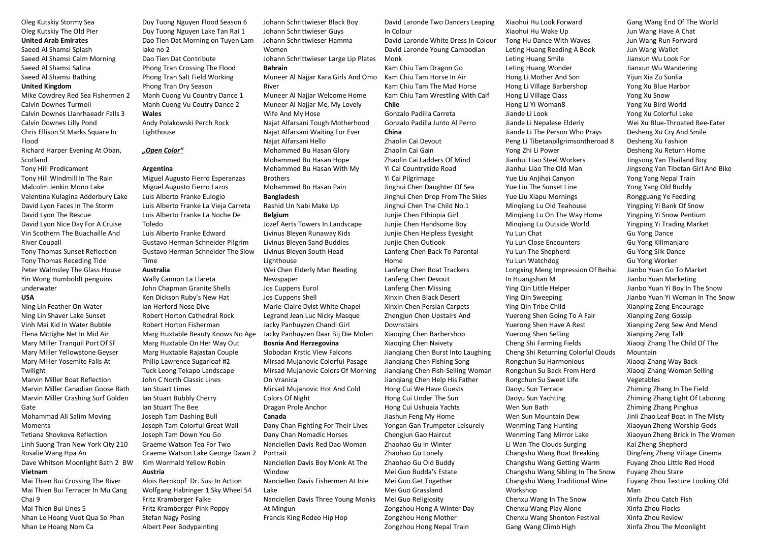## Oleg Kutskiy Stormy Sea Oleg Kutskiy The Old Pier

#### **United Arab Emirates**

Saeed Al Shamsi Splash Saeed Al Shamsi Calm Morning Saeed Al Shamsi Salina Saeed Al Shamsi Bathing

#### **United Kingdom**

Mike Cowdrey Red Sea Fishermen 2 Calvin Downes Turmoil Calvin Downes Llanrhaeadr Falls 3 Calvin Downes Lilly Pond Chris Ellison St Marks Square In Flood Richard Harper Evening At Oban, Scotland Tony Hill Predicament Tony Hill Windmill In The Rain

Malcolm Jenkin Mono Lake Valentina Kulagina Adderbury Lake David Lyon Faces In The Storm David Lyon The Rescue David Lyon Nice Day For A Cruise Vin Scothern The Buachaille And River Coupall

Tony Thomas Sunset Reflection Tony Thomas Receding Tide Peter Walmsley The Glass House Yin Wong Humboldt penguins underwater

## **USA**

Ning Lin Feather On Water Ning Lin Shaver Lake Sunset Vinh Mai Kid In Water Bubble Elena Mctighe Net In Mid Air Mary Miller Tranquil Port Of SF Mary Miller Yellowstone Geyser Mary Miller Yosemite Falls At Twilight

Marvin Miller Boat Reflection Marvin Miller Canadian Goose Bath Marvin Miller Crashing Surf Golden Gate

Mohammad Ali Salim Moving Moments

Tetiana Shovkova Reflection Linh Suong Tran New York City 210 Rosalie Wang Hpa An

Dave Whitson Moonlight Bath 2 BW **Vietnam** 

Mai Thien Bui Crossing The River Mai Thien Bui Terracer In Mu Cang Chai 9

Mai Thien Bui Lines 5 Nhan Le Hoang Vuot Qua So Phan Nhan Le Hoang Nom Ca

Duy Tuong Nguyen Flood Season 6 Duy Tuong Nguyen Lake Tan Rai 1 Dao Tien Dat Morning on Tuyen Lam lake no 2 Dao Tien Dat Contribute Phong Tran Crossing The Flood Phong Tran Salt Field Working Phong Tran Dry Season Manh Cuong Vu Country Dance 1 Manh Cuong Vu Coutry Dance 2 **Wales**  Andy Polakowski Perch Rock

Lighthouse

## *"Open Color"*

### **Argentina**

Miguel Augusto Fierro Esperanzas Miguel Augusto Fierro Lazos Luis Alberto Franke Eulogio Luis Alberto Franke La Vieja Carreta Luis Alberto Franke La Noche De Toledo Luis Alberto Franke Edward

Gustavo Herman Schneider Pilgrim Gustavo Herman Schneider The Slow Time

### **Australia**

Wally Cannon La Llareta John Chapman Granite Shells Ken Dickson Ruby's New Hat Ian Herford Nose Dive Robert Horton Cathedral Rock Robert Horton Fisherman Marg Huxtable Beauty Knows No Age Marg Huxtable On Her Way Out Marg Huxtable Rajastan Couple Philip Lawrence Sugarloaf #2 Tuck Leong Tekapo Landscape John C North Classic Lines Ian Stuart Limes Ian Stuart Bubbly Cherry Ian Stuart The Bee Joseph Tam Dashing Bull Joseph Tam Colorful Great Wall Joseph Tam Down You Go Graeme Watson Tea For Two Graeme Watson Lake George Dawn 2 Kim Wormald Yellow Robin **Austria** 

Alois Bernkopf Dr. Susi In Action Wolfgang Habringer 1 Sky Wheel 54 Fritz Kramberger Falke Fritz Kramberger Pink Poppy Stefan Nagy Posing Albert Peer Bodypainting

Johann Schrittwieser Black Boy Johann Schrittwieser Guys Johann Schrittwieser Hamma Women Johann Schrittwieser Large Lip Plates **Bahrain**  Muneer Al Najjar Kara Girls And Omo Kam Chiu Tam Horse In Air River Muneer Al Najjar Welcome Home Muneer Al Najjar Me, My Lovely Wife And My Hose Najat Alfarsani Tough Motherhood Najat Alfarsani Waiting For Ever Najat Alfarsani Hello Mohammed Bu Hasan Glory Mohammed Bu Hasan Hope Mohammed Bu Hasan With My **Brothers** Mohammed Bu Hasan Pain **Bangladesh**  Rashid Un Nabi Make Up **Belgium**  Jozef Aerts Towers In Landscape Livinus Bleyen Runaway Kids Livinus Bleyen Sand Buddies Livinus Bleyen South Head Lighthouse Wei Chen Elderly Man Reading Newspaper Jos Cuppens Eurol Jos Cuppens Shell Marie-Claire Dylst White Chapel Legrand Jean Luc Nicky Masque Jacky Panhuyzen Chandi Girl Jacky Panhuyzen Daar Bij Die Molen **Bosnia And Herzegovina**  Slobodan Krstic View Falcons Mirsad Mujanovic Colorful Pasage Mirsad Mujanovic Colors Of Morning On Vranica Mirsad Mujanovic Hot And Cold Colors Of Night Dragan Prole Anchor **Canada**  Dany Chan Fighting For Their Lives Dany Chan Nomadic Horses Nanciellen Davis Red Dao Woman Portrait Nanciellen Davis Boy Monk At The Window Nanciellen Davis Fishermen At Inle Lake

Nanciellen Davis Three Young Monks At Mingun Francis King Rodeo Hip Hop

David Laronde Two Dancers Leaping In Colour

David Laronde White Dress In Colour David Laronde Young Cambodian Monk

Kam Chiu Tam Dragon Go Kam Chiu Tam The Mad Horse Kam Chiu Tam Wrestling With Calf **Chile** 

Gonzalo Padilla Carreta Gonzalo Padilla Junto Al Perro **China** Zhaolin Cai Devout Zhaolin Cai Gain Zhaolin Cai Ladders Of Mind Yi Cai Countryside Road Yi Cai Pilgrimage Jinghui Chen Daughter Of Sea Jinghui Chen Drop From The Skies Jinghui Chen The Child No.1 Junjie Chen Ethiopia Girl Junjie Chen Handsome Boy Junjie Chen Helpless Eyesight Junjie Chen Outlook Lanfeng Chen Back To Parental Home Lanfeng Chen Boat Trackers Lanfeng Chen Devout Lanfeng Chen Missing Xinxin Chen Black Desert Xinxin Chen Persian Carpets Zhengjun Chen Upstairs And Downstairs Xiaoqing Chen Barbershop Xiaoqing Chen Naivety Jianqiang Chen Burst Into Laughing Jianqiang Chen Fishing Song Jianqiang Chen Fish-Selling Woman Jianqiang Chen Help His Father Hong Cui We Have Guests Hong Cui Under The Sun Hong Cui Ushuaia Yachts Jiashun Feng My Home Yongan Gan Trumpeter Leisurely Chengjun Gao Haircut Zhaohao Gu In Winter Zhaohao Gu Lonely Zhaohao Gu Old Buddy Mei Guo Budda's Estate Mei Guo Get Together Mei Guo Grassland Mei Guo Religiosity Zongzhou Hong A Winter Day Zongzhou Hong Mother Zongzhou Hong Nepal Train

Xiaohui Hu Wake Up Tong Hu Dance With Waves Leting Huang Reading A Book Leting Huang Smile Leting Huang Wonder Hong Li Mother And Son Hong Li Village Barbershop Hong Li Village Class Hong Li Yi Woman8 Jiande Li Look Jiande Li Nepalese Elderly Jiande Li The Person Who Prays Peng Li Tibetanpilgrimsontheroad 8 Yong Zhi Li Power Jianhui Liao Steel Workers Jianhui Liao The Old Man Yue Liu Anjihai Canyon Yue Liu The Sunset Line Yue Liu Xiapu Mornings Minqiang Lu Old Teahouse Minqiang Lu On The Way Home Minqiang Lu Outside World Yu Lun Chat Yu Lun Close Encounters Yu Lun The Shepherd Yu Lun Watchdog Longxing Meng Impression Of Beihai In Huangshan M Ying Qin Little Helper Ying Qin Sweeping Ying Qin Tribe Child Yuerong Shen Going To A Fair Yuerong Shen Have A Rest Yuerong Shen Selling Cheng Shi Farming Fields Cheng Shi Returning Colorful Clouds Rongchun Su Harmonious Rongchun Su Back From Herd Rongchun Su Sweet Life Daoyu Sun Terrace Daoyu Sun Yachting Wen Sun Bath Wen Sun Mountain Dew Wenming Tang Hunting Wenming Tang Mirror Lake Li Wan The Clouds Surging Changshu Wang Boat Breaking Changshu Wang Getting Warm Changshu Wang Sibling In The Snow Changshu Wang Traditional Wine Workshop Chenxu Wang In The Snow Chenxu Wang Play Alone Chenxu Wang Shonton Festival

Gang Wang Climb High

Xiaohui Hu Look Forward

Gang Wang End Of The World Jun Wang Have A Chat Jun Wang Run Forward Jun Wang Wallet Jianxun Wu Look For Jianxun Wu Wandering Yijun Xia Zu Sunlia Yong Xu Blue Harbor Yong Xu Snow Yong Xu Bird World Yong Xu Colorful Lake Wei Xu Blue-Throated Bee-Eater Desheng Xu Cry And Smile Desheng Xu Fashion Desheng Xu Return Home Jingsong Yan Thailand Boy Jingsong Yan Tibetan Girl And Bike Yong Yang Nepal Train Yong Yang Old Buddy Rongguang Ye Feeding Yingping Yi Bank Of Snow Yingping Yi Snow Pentium Yingping Yi Trading Market Gu Yong Dance Gu Yong Kilimanjaro Gu Yong Silk Dance Gu Yong Worker Jianbo Yuan Go To Market Jianbo Yuan Marketing Jianbo Yuan Yi Boy In The Snow Jianbo Yuan Yi Woman In The Snow Xianping Zeng Encourage Xianping Zeng Gossip Xianping Zeng Sew And Mend Xianping Zeng Talk Xiaoqi Zhang The Child Of The Mountain Xiaoqi Zhang Way Back Xiaoqi Zhang Woman Selling Vegetables Zhiming Zhang In The Field Zhiming Zhang Light Of Laboring Zhiming Zhang Pinghua Jinli Zhao Leaf Boat In The Misty Xiaoyun Zheng Worship Gods Xiaoyun Zheng Brick In The Women Kai Zheng Shepherd Dingfeng Zheng Village Cinema Fuyang Zhou Little Red Hood Fuyang Zhou Stare Fuyang Zhou Texture Looking Old Man Xinfa Zhou Catch Fish Xinfa Zhou Flocks Xinfa Zhou Review Xinfa Zhou The Moonlight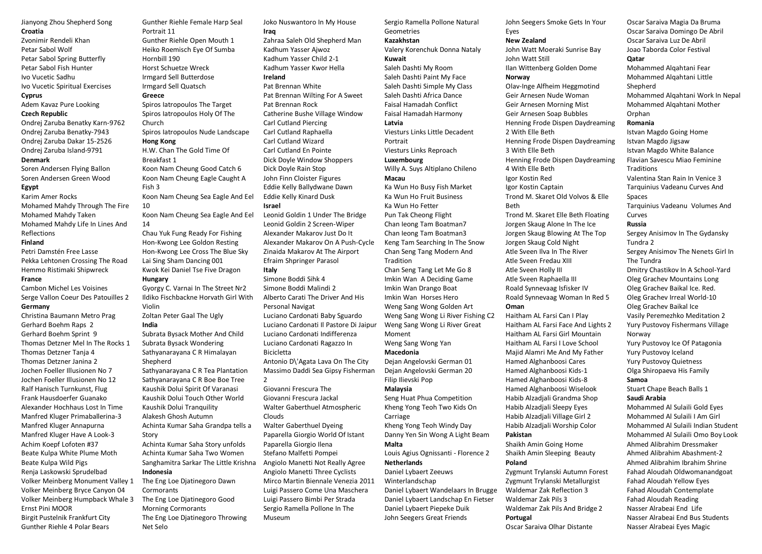Jianyong Zhou Shepherd Song **Croatia** 

Zvonimir Rendeli Khan Petar Sabol Wolf Petar Sabol Spring Butterfly Petar Sabol Fish Hunter Ivo Vucetic Sadhu Ivo Vucetic Spiritual Exercises **Cyprus**  Adem Kavaz Pure Looking

#### **Czech Republic**

Ondrej Zaruba Benatky Karn-9762 Ondrej Zaruba Benatky-7943 Ondrej Zaruba Dakar 15-2526 Ondrej Zaruba Island-9791

## **Denmark**

Soren Andersen Flying Ballon Soren Andersen Green Wood **Egypt** 

Karim Amer Rocks Mohamed Mahdy Through The Fire Mohamed Mahdy Taken Mohamed Mahdy Life In Lines And Reflections

### **Finland**

Petri Damstén Free Lasse Pekka Lehtonen Crossing The Road Hemmo Ristimaki Shipwreck **France** 

Cambon Michel Les Voisines Serge Vallon Coeur Des Patouilles 2 **Germany** 

Christina Baumann Metro Prag Gerhard Boehm Raps 2 Gerhard Boehm Sprint 9 Thomas Detzner Mel In The Rocks 1 Thomas Detzner Tanja 4 Thomas Detzner Janina 2 Jochen Foeller Illusionen No 7 Jochen Foeller Illusionen No 12 Ralf Hanisch Turnkunst, Flug Frank Hausdoerfer Guanako Alexander Hochhaus Lost In Time Manfred Kluger Primaballerina-3 Manfred Kluger Annapurna Manfred Kluger Have A Look-3 Achim Koepf Lofoten #37 Beate Kulpa White Plume Moth Beate Kulpa Wild Pigs Renja Laskowski Sprudelbad Volker Meinberg Monument Valley 1 Volker Meinberg Bryce Canyon 04 Volker Meinberg Humpback Whale 3 Ernst Pini MOOR Birgit Pustelnik Frankfurt City Gunther Riehle 4 Polar Bears

Gunther Riehle Female Harp Seal Portrait 11 Gunther Riehle Open Mouth 1 Heiko Roemisch Eye Of Sumba Hornbill 190 Horst Schuetze Wreck Irmgard Sell Butterdose Irmgard Sell Quatsch **Greece**  Spiros Iatropoulos The Target Spiros Iatropoulos Holy Of The Church Spiros Iatropoulos Nude Landscape **Hong Kong**  H.W. Chan The Gold Time Of Breakfast 1 Koon Nam Cheung Good Catch 6 Koon Nam Cheung Eagle Caught A Fish 3 Koon Nam Cheung Sea Eagle And Eel 10 Koon Nam Cheung Sea Eagle And Eel 14 Chau Yuk Fung Ready For Fishing Hon-Kwong Lee Goldon Resting Hon-Kwong Lee Cross The Blue Sky Lai Sing Sham Dancing 001 Kwok Kei Daniel Tse Five Dragon **Hungary**  Gyorgy C. Varnai In The Street Nr2 Ildiko Fischbackne Horvath Girl With Violin Zoltan Peter Gaal The Ugly **India**  Subrata Bysack Mother And Child Subrata Bysack Wondering Sathyanarayana C R Himalayan Shepherd Sathyanarayana C R Tea Plantation Sathyanarayana C R Boe Boe Tree Kaushik Dolui Spirit Of Varanasi Kaushik Dolui Touch Other World

Kaushik Dolui Tranquility Alakesh Ghosh Autumn Achinta Kumar Saha Grandpa tells a Story

Achinta Kumar Saha Story unfolds Achinta Kumar Saha Two Women Sanghamitra Sarkar The Little Krishna **Indonesia** 

The Eng Loe Djatinegoro Dawn **Cormorants** The Eng Loe Djatinegoro Good Morning Cormorants The Eng Loe Djatinegoro Throwing Net Selo

Joko Nuswantoro In My House **Iraq**  Zahraa Saleh Old Shepherd Man Kadhum Yasser Ajwoz Kadhum Yasser Child 2-1 Kadhum Yasser Kwor Hella **Ireland**  Pat Brennan White Pat Brennan Wilting For A Sweet Pat Brennan Rock Catherine Bushe Village Window Carl Cutland Piercing Carl Cutland Raphaella Carl Cutland Wizard Carl Cutland En Pointe Dick Doyle Window Shoppers Dick Doyle Rain Stop John Finn Cloister Figures Eddie Kelly Ballydwane Dawn Eddie Kelly Kinard Dusk **Israel** 

Leonid Goldin 1 Under The Bridge Leonid Goldin 2 Screen-Wiper Alexander Makarov Just Do It Alexander Makarov On A Push-Cycle Zinaida Makarov At The Airport Efraim Shpringer Parasol **Italy** 

Simone Boddi Sihk 4 Simone Boddi Malindi 2 Alberto Carati The Driver And His Personal Navigat Luciano Cardonati Baby Sguardo Luciano Cardonati Il Pastore Di Jaipur Luciano Cardonati Indifferenza Luciano Cardonati Ragazzo In Bicicletta Antonio D\'Agata Lava On The City

Massimo Daddi Sea Gipsy Fisherman

2

Giovanni Frescura The Giovanni Frescura Jackal Walter Gaberthuel Atmospheric Clouds Walter Gaberthuel Dyeing Paparella Giorgio World Of Istant Paparella Giorgio Ilena Stefano Malfetti Pompei Angiolo Manetti Not Really Agree Angiolo Manetti Three Cyclists Mirco Martin Biennale Venezia 2011 Luigi Passero Come Una Maschera Luigi Passero Bimbi Per Strada Sergio Ramella Pollone In The Museum

Sergio Ramella Pollone Natural **Geometries Kazakhstan** 

Valery Korenchuk Donna Nataly **Kuwait** 

Saleh Dashti My Room Saleh Dashti Paint My Face Saleh Dashti Simple My Class Saleh Dashti Africa Dance Faisal Hamadah Conflict Faisal Hamadah Harmony **Latvia**  Viesturs Links Little Decadent

Portrait Viesturs Links Reproach

**Luxembourg**  Willy A. Suys Altiplano Chileno **Macau** 

Ka Wun Ho Busy Fish Market Ka Wun Ho Fruit Business Ka Wun Ho Fetter Pun Tak Cheong Flight Chan Ieong Tam Boatman7 Chan Ieong Tam Boatman3 Keng Tam Searching In The Snow Chan Seng Tang Modern And Tradition Chan Seng Tang Let Me Go 8 Imkin Wan A Deciding Game Imkin Wan Drango Boat Imkin Wan Horses Hero Weng Sang Wong Golden Art

Weng Sang Wong Li River Fishing C2 Weng Sang Wong Li River Great Moment Weng Sang Wong Yan

### **Macedonia**

Dejan Angelovski German 01 Dejan Angelovski German 20 Filip Ilievski Pop

#### **Malaysia**

Seng Huat Phua Competition Kheng Yong Teoh Two Kids On Carriage Kheng Yong Teoh Windy Day

Danny Yen Sin Wong A Light Beam **Malta** 

## Louis Agius Ognissanti - Florence 2

**Netherlands**  Daniel Lybaert Zeeuws

Winterlandschap Daniel Lybaert Wandelaars In Brugge Daniel Lybaert Landschap En Fietser Daniel Lybaert Piepeke Duik John Seegers Great Friends

John Seegers Smoke Gets In Your Eyes

#### **New Zealand**

John Watt Moeraki Sunrise Bay John Watt Still Ilan Wittenberg Golden Dome

**Norway** 

Olav-Inge Alfheim Heggmotind Geir Arnesen Nude Woman Geir Arnesen Morning Mist Geir Arnesen Soap Bubbles Henning Frode Dispen Daydreaming 2 With Elle Beth Henning Frode Dispen Daydreaming 3 With Elle Beth Henning Frode Dispen Daydreaming 4 With Elle Beth Igor Kostin Red Igor Kostin Captain Trond M. Skaret Old Volvos & Elle Beth Trond M. Skaret Elle Beth Floating Jorgen Skaug Alone In The Ice Jorgen Skaug Blowing At The Top Jorgen Skaug Cold Night Atle Sveen Ilva In The River Atle Sveen Fredau XIII Atle Sveen Holly III Atle Sveen Raphaella III Roald Synnevaag Isfisker IV Roald Synnevaag Woman In Red 5 **Oman**  Haitham AL Farsi Can I Play

Haitham AL Farsi Face And Lights 2 Haitham AL Farsi Girl Mountain Haitham AL Farsi I Love School Majid Alamri Me And My Father Hamed Alghanboosi Cares Hamed Alghanboosi Kids-1 Hamed Alghanboosi Kids-8 Hamed Alghanboosi Wiselook Habib Alzadjali Grandma Shop Habib Alzadjali Sleepy Eyes Habib Alzadjali Village Girl 2 Habib Alzadjali Worship Color **Pakistan** 

Shaikh Amin Going Home Shaikh Amin Sleeping Beauty **Poland** 

Zygmunt Trylanski Autumn Forest Zygmunt Trylanski Metallurgist Waldemar Zak Reflection 3 Waldemar Zak Pils 3 Waldemar Zak Pils And Bridge 2 **Portugal** 

Oscar Saraiva Olhar Distante

Oscar Saraiva Magia Da Bruma Oscar Saraiva Domingo De Abril Oscar Saraiva Luz De Abril Joao Taborda Color Festival **Qatar**  Mohammed Alqahtani Fear Mohammed Alqahtani Little Shepherd Mohammed Alqahtani Work In Nepal Mohammed Alqahtani Mother Orphan **Romania**  Istvan Magdo Going Home Istvan Magdo Jigsaw Istvan Magdo White Balance Flavian Savescu Miao Feminine **Traditions** Valentina Stan Rain In Venice 3 Tarquinius Vadeanu Curves And Spaces Tarquinius Vadeanu Volumes And Curves **Russia** 

Sergey Anisimov In The Gydansky Tundra 2 Sergey Anisimov The Nenets Girl In The Tundra Dmitry Chastikov In A School-Yard Oleg Grachev Mountains Long Oleg Grachev Baikal Ice. Red. Oleg Grachev Irreal World-10 Oleg Grachev Baikal Ice Vasily Peremezhko Meditation 2 Yury Pustovoy Fishermans Village Norway Yury Pustovoy Ice Of Patagonia Yury Pustovoy Iceland Yury Pustovoy Quietness Olga Shiropaeva His Family **Samoa** 

## Stuart Chape Beach Balls 1 **Saudi Arabia**

Mohammed Al Sulaili Gold Eyes Mohammed Al Sulaili I Am Girl Mohammed Al Sulaili Indian Student Mohammed Al Sulaili Omo Boy Look Ahmed Alibrahim Dressmaker Ahmed Alibrahim Abashment-2 Ahmed Alibrahim Ibrahim Shrine Fahad Aloudah Oldwomanandgoat Fahad Aloudah Yellow Eyes Fahad Aloudah Contemplate Fahad Aloudah Reading Nasser Alrabeai End Life Nasser Alrabeai End Bus Students Nasser Alrabeai Eyes Magic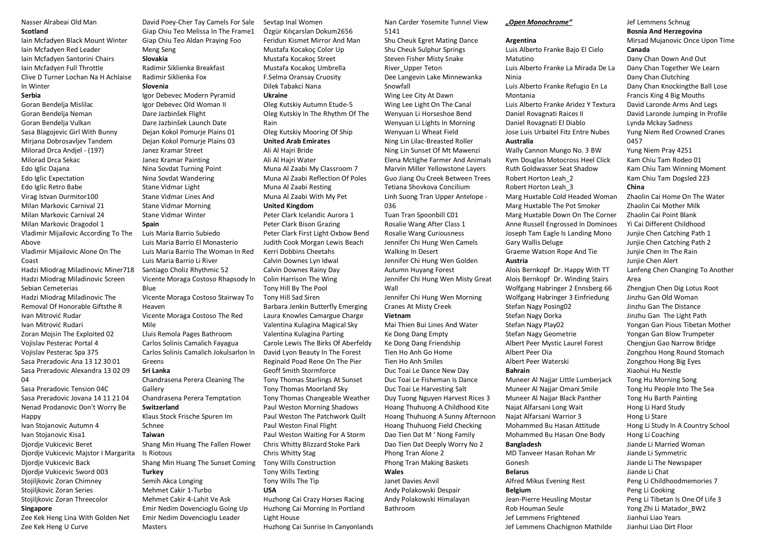#### Nasser Alrabeai Old Man **Scotland**

Iain Mcfadyen Black Mount Winter Iain Mcfadyen Red Leader Iain Mcfadyen Santorini Chairs Iain Mcfadyen Full Throttle Clive D Turner Lochan Na H Achlaise In Winter

### **Serbia**

Goran Bendelja Mislilac Goran Bendelja Neman Goran Bendelja Vulkan Sasa Blagojevic Girl With Bunny Mirjana Dobrosavljev Tandem Milorad Drca Andjel - (197) Milorad Drca Sekac Edo Iglic Dajana Edo Iglic Expectation Edo Iglic Retro Babe Virag Istvan Durmitor100 Milan Markovic Carnival 21 Milan Markovic Carnival 24 Milan Markovic Dragodol 1 Vladimir Mijailovic According To The Above Vladimir Mijailovic Alone On The Coast Hadzi Miodrag Miladinovic Miner718 Hadzi Miodrag Miladinovic Screen Sebian Cemeterias Hadzi Miodrag Miladinovic The Removal Of Honorable Giftsthe R Ivan Mitrović Rudar Ivan Mitrović Rudari Zoran Mojsin The Exploited 02 Vojislav Pesterac Portal 4 Vojislav Pesterac Spa 375 Sasa Preradovic Ana 13 12 30 01 Sasa Preradovic Alexandra 13 02 09 04

Sasa Preradovic Tension 04C Sasa Preradovic Jovana 14 11 21 04 Nenad Prodanovic Don't Worry Be **Happy** Ivan Stojanovic Autumn 4

Ivan Stojanovic Kisa1 Djordje Vukicevic Beret Djordje Vukicevic Majstor I Margarita Djordje Vukicevic Back Djordje Vukicevic Sword 003 Stojiljkovic Zoran Chimney Stojiljkovic Zoran Series Stojiljkovic Zoran Threecolor **Singapore** 

Zee Kek Heng Lina With Golden Net Zee Kek Heng U Curve

David Poey-Cher Tay Camels For Sale Giap Chiu Teo Melissa In The Frame1 Giap Chiu Teo Aldan Praying Foo Meng Seng **Slovakia** 

Radimir Siklienka Breakfast Radimir Siklienka Fox

## **Slovenia**

Igor Debevec Modern Pyramid Igor Debevec Old Woman II Dare Jazbinšek Flight Dare Jazbinšek Launch Date Dejan Kokol Pomurje Plains 01 Dejan Kokol Pomurje Plains 03 Janez Kramar Street Janez Kramar Painting Nina Sovdat Turning Point Nina Sovdat Wandering Stane Vidmar Light Stane Vidmar Lines And Stane Vidmar Morning Stane Vidmar Winter

## **Spain**

Luis Maria Barrio Subiedo Luis Maria Barrio El Monasterio Luis Maria Barrio The Woman In Red Luis Maria Barrio Li River Santiago Choliz Rhythmic 52 Vicente Moraga Costoso Rhapsody In Blue Vicente Moraga Costoso Stairway To Heaven Vicente Moraga Costoso The Red Mile Lluis Remola Pages Bathroom Carlos Solinis Camalich Fayagua Carlos Solinis Camalich Jokulsarlon In Greens **Sri Lanka**  Chandrasena Perera Cleaning The Gallery Chandrasena Perera Temptation **Switzerland**  Klaus Stock Frische Spuren Im Schnee **Taiwan**  Shang Min Huang The Fallen Flower Is Riotous Shang Min Huang The Sunset Coming **Turkey**  Semih Akca Longing Mehmet Cakir 1-Turbo Mehmet Cakir 4-Lahit Ve Ask Emir Nedim Dovencioglu Going Up Emir Nedim Dovencioglu Leader **Masters** 

Özgür Kılıçarslan Dokum2656 Feridun Kismet Mirror And Man Mustafa Kocakoç Color Up Mustafa Kocakoç Street Mustafa Kocakoç Umbrella F.Selma Oransay Cruosity Dilek Tabakci Nana **Ukraine**  Oleg Kutskiy Autumn Etude-5 Oleg Kutskiy In The Rhythm Of The Rain Oleg Kutskiy Mooring Of Ship **United Arab Emirates**  Ali Al Hajri Bride Ali Al Hajri Water Muna Al Zaabi My Classroom 7 Muna Al Zaabi Reflection Of Poles Muna Al Zaabi Resting Muna Al Zaabi With My Pet **United Kingdom**  Peter Clark Icelandic Aurora 1 Peter Clark Bison Grazing Peter Clark First Light Oxbow Bend Judith Cook Morgan Lewis Beach Kerri Dobbins Cheetahs Calvin Downes Lyn Idwal Calvin Downes Rainy Day Colin Harrison The Wing Tony Hill By The Pool Tony Hill Sad Siren Barbara Jenkin Butterfly Emerging Laura Knowles Camargue Charge Valentina Kulagina Magical Sky Valentina Kulagina Parting Carole Lewis The Birks Of Aberfeldy David Lyon Beauty In The Forest Reginald Poad Rene On The Pier Geoff Smith Stormforce Tony Thomas Starlings At Sunset Tony Thomas Moorland Sky Tony Thomas Changeable Weather Paul Weston Morning Shadows Paul Weston The Patchwork Quilt Paul Weston Final Flight Paul Weston Waiting For A Storm Chris Whitty Blizzard Stoke Park Chris Whitty Stag Tony Wills Construction Tony Wills Texting Tony Wills The Tip **USA**  Huzhong Cai Crazy Horses Racing Huzhong Cai Morning In Portland Light House Huzhong Cai Sunrise In Canyonlands

Sevtap Inal Women

Nan Carder Yosemite Tunnel View 5141

Shu Cheuk Egret Mating Dance Shu Cheuk Sulphur Springs Steven Fisher Misty Snake River\_Upper Teton Dee Langevin Lake Minnewanka Snowfall Wing Lee City At Dawn Wing Lee Light On The Canal Wenyuan Li Horseshoe Bend Wenyuan Li Lights In Morning Wenyuan Li Wheat Field Ning Lin Lilac-Breasted Roller Ning Lin Sunset Of Mt Mawenzi Elena Mctighe Farmer And Animals Marvin Miller Yellowstone Layers Guo Jiang Ou Creek Between Trees Tetiana Shovkova Concilium Linh Suong Tran Upper Antelope - 036

Tuan Tran Spoonbill C01 Rosalie Wang After Class 1 Rosalie Wang Curiousness Jennifer Chi Hung Wen Camels Walking In Desert Jennifer Chi Hung Wen Golden Autumn Huyang Forest Jennifer Chi Hung Wen Misty Great Wall

Jennifer Chi Hung Wen Morning Cranes At Misty Creek **Vietnam** 

Mai Thien Bui Lines And Water Ke Dong Dang Empty Ke Dong Dang Friendship Tien Ho Anh Go Home Tien Ho Anh Smiles Duc Toai Le Dance New Day Duc Toai Le Fisheman Is Dance Duc Toai Le Harvesting Salt Duy Tuong Nguyen Harvest Rices 3 Hoang Thuhuong A Childhood Kite Hoang Thuhuong A Sunny Afternoon Hoang Thuhuong Field Checking Dao Tien Dat M ' Nong Family Dao Tien Dat Deeply Worry No 2 Phong Tran Alone 2 Phong Tran Making Baskets **Wales** 

## Janet Davies Anvil

Andy Polakowski Despair Andy Polakowski Himalayan Bathroom

*"Open Monochrome"*

#### **Argentina**

Luis Alberto Franke Bajo El Cielo Matutino Luis Alberto Franke La Mirada De La Ninia Luis Alberto Franke Refugio En La Montania

Luis Alberto Franke Aridez Y Textura Daniel Rovagnati Raices II Daniel Rovagnati El Diablo Jose Luis Urbaitel Fitz Entre Nubes **Australia** 

Wally Cannon Mungo No. 3 BW Kym Douglas Motocross Heel Click Ruth Goldwasser Seat Shadow Robert Horton Leah\_2 Robert Horton Leah\_3 Marg Huxtable Cold Headed Woman Marg Huxtable The Pot Smoker Marg Huxtable Down On The Corner Anne Russell Engrossed In Dominoes Joseph Tam Eagle Is Landing Mono Gary Wallis Deluge

Graeme Watson Rope And Tie **Austria** 

Alois Bernkopf Dr. Happy With TT Alois Bernkopf Dr. Winding Stairs Wolfgang Habringer 2 Ennsberg 66 Wolfgang Habringer 3 Einfriedung Stefan Nagy Posing02 Stefan Nagy Dorka Stefan Nagy Play02 Stefan Nagy Geometrie Albert Peer Mystic Laurel Forest Albert Peer Oia Albert Peer Waterski **Bahrain**  Muneer Al Najjar Little Lumberjack Muneer Al Najjar Omani Smile

Muneer Al Najjar Black Panther Najat Alfarsani Long Wait Najat Alfarsani Warrior 3 Mohammed Bu Hasan Attitude Mohammed Bu Hasan One Body

### **Bangladesh**

MD Tanveer Hasan Rohan Mr Gonesh **Belarus** 

Alfred Mikus Evening Rest

## **Belgium**

Jean-Pierre Heusling Mostar Rob Houman Seule Jef Lemmens Frightened Jef Lemmens Chachignon Mathilde

#### Jef Lemmens Schnug

**Bosnia And Herzegovina** 

Mirsad Mujanovic Once Upon Time **Canada** 

Dany Chan Down And Out Dany Chan Together We Learn Dany Chan Clutching Dany Chan Knockingthe Ball Lose Francis King 4 Big Mouths David Laronde Arms And Legs David Laronde Jumping In Profile Lynda Mckay Sadness Yung Niem Red Crowned Cranes 0457

Yung Niem Pray 4251 Kam Chiu Tam Rodeo 01 Kam Chiu Tam Winning Moment Kam Chiu Tam Dogsled 223

### **China**

Zhaolin Cai Home On The Water Zhaolin Cai Mother Milk Zhaolin Cai Point Blank Yi Cai Different Childhood Junjie Chen Catching Path 1 Junjie Chen Catching Path 2 Junjie Chen In The Rain Junjie Chen Alert Lanfeng Chen Changing To Another Area Zhengjun Chen Dig Lotus Root Jinzhu Gan Old Woman

Jinzhu Gan The Distance Jinzhu Gan The Light Path Yongan Gan Pious Tibetan Mother Yongan Gan Blow Trumpeter Chengjun Gao Narrow Bridge Zongzhou Hong Round Stomach Zongzhou Hong Big Eyes Xiaohui Hu Nestle Tong Hu Morning Song Tong Hu People Into The Sea Tong Hu Barth Painting Hong Li Hard Study Hong Li Stare Hong Li Study In A Country School Hong Li Coaching Jiande Li Married Woman Jiande Li Symmetric Jiande Li The Newspaper Jiande Li Chat Peng Li Childhoodmemories 7 Peng Li Cooking Peng Li Tibetan Is One Of Life 3 Yong Zhi Li Matador\_BW2 Jianhui Liao Years

Jianhui Liao Dirt Floor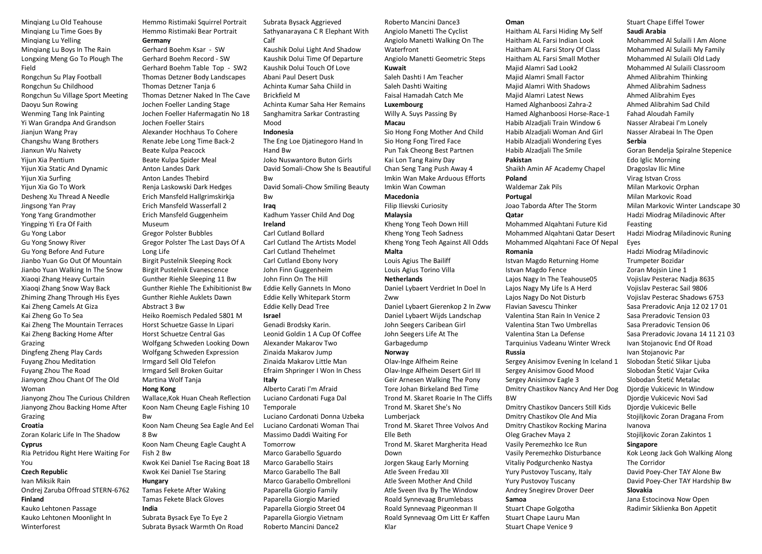Minqiang Lu Old Teahouse Minqiang Lu Time Goes By Minqiang Lu Yelling Minqiang Lu Boys In The Rain Longxing Meng Go To Plough The Field

Rongchun Su Play Football Rongchun Su Childhood Rongchun Su Village Sport Meeting Daoyu Sun Rowing Wenming Tang Ink Painting Yi Wan Grandpa And Grandson Jianjun Wang Pray Changshu Wang Brothers Jianxun Wu Naivety Yijun Xia Pentium Yijun Xia Static And Dynamic Yijun Xia Surfing Yijun Xia Go To Work Desheng Xu Thread A Needle Jingsong Yan Pray Yong Yang Grandmother Yingping Yi Era Of Faith Gu Yong Labor Gu Yong Snowy River Gu Yong Before And Future Jianbo Yuan Go Out Of Mountain Jianbo Yuan Walking In The Snow Xiaoqi Zhang Heavy Curtain Xiaoqi Zhang Snow Way Back Zhiming Zhang Through His Eyes Kai Zheng Camels At Giza Kai Zheng Go To Sea Kai Zheng The Mountain Terraces Kai Zheng Backing Home After Grazing Dingfeng Zheng Play Cards Fuyang Zhou Meditation Fuyang Zhou The Road Jianyong Zhou Chant Of The Old Woman Jianyong Zhou The Curious Children Jianyong Zhou Backing Home After Grazing **Croatia**  Zoran Kolaric Life In The Shadow

## **Cyprus**

Ria Petridou Right Here Waiting For You

#### **Czech Republic**

Ivan Miksik Rain Ondrej Zaruba Offroad STERN-6762 **Finland** 

Kauko Lehtonen Passage Kauko Lehtonen Moonlight In **Winterforest** 

Hemmo Ristimaki Squirrel Portrait Hemmo Ristimaki Bear Portrait

**Germany**  Gerhard Boehm Ksar - SW Gerhard Boehm Record - SW Gerhard Boehm Table Top - SW2 Thomas Detzner Body Landscapes Thomas Detzner Tanja 6 Thomas Detzner Naked In The Cave Jochen Foeller Landing Stage Jochen Foeller Hafermagatin No 18 Jochen Foeller Stairs Alexander Hochhaus To Cohere Renate Jebe Long Time Back-2 Beate Kulpa Peacock Beate Kulpa Spider Meal Anton Landes Dark Anton Landes Thebird Renja Laskowski Dark Hedges Erich Mansfeld Hallgrimskirkja Erich Mansfeld Wasserfall 2 Erich Mansfeld Guggenheim Museum Gregor Polster Bubbles Gregor Polster The Last Days Of A Long Life Birgit Pustelnik Sleeping Rock Birgit Pustelnik Evanescence Gunther Riehle Sleeping 11 Bw Gunther Riehle The Exhibitionist Bw Gunther Riehle Auklets Dawn Abstract 3 Bw Heiko Roemisch Pedaled 5801 M Horst Schuetze Gasse In Lipari Horst Schuetze Central Gas Wolfgang Schweden Looking Down Wolfgang Schweden Expression Irmgard Sell Old Telefon Irmgard Sell Broken Guitar Martina Wolf Tanja **Hong Kong**  Wallace,Kok Huan Cheah Reflection Koon Nam Cheung Eagle Fishing 10 Bw Koon Nam Cheung Sea Eagle And Eel 8 Bw Koon Nam Cheung Eagle Caught A Fish 2 Bw Kwok Kei Daniel Tse Racing Boat 18 Kwok Kei Daniel Tse Staring **Hungary** 

Tamas Fekete After Waking Tamas Fekete Black Gloves **India** 

Subrata Bysack Eye To Eye 2 Subrata Bysack Warmth On Road Subrata Bysack Aggrieved Sathyanarayana C R Elephant With Calf Kaushik Dolui Light And Shadow Kaushik Dolui Time Of Departure Kaushik Dolui Touch Of Love Abani Paul Desert Dusk Achinta Kumar Saha Chiild in Brickfield M Achinta Kumar Saha Her Remains Sanghamitra Sarkar Contrasting

Mood

#### **Indonesia**

The Eng Loe Djatinegoro Hand In Hand Bw Joko Nuswantoro Buton Girls David Somali-Chow She Is Beautiful **Bw** David Somali-Chow Smiling Beauty Bw **Iraq**  Kadhum Yasser Child And Dog

#### **Ireland**  Carl Cutland Bollard Carl Cutland The Artists Model

Carl Cutland Thehelmet Carl Cutland Ebony Ivory John Finn Guggenheim John Finn On The Hill Eddie Kelly Gannets In Mono Eddie Kelly Whitepark Storm Eddie Kelly Dead Tree **Israel** 

Genadi Brodsky Karin. Leonid Goldin 1 A Cup Of Coffee Alexander Makarov Two Zinaida Makarov Jump Zinaida Makarov Little Man Efraim Shpringer I Won In Chess **Italy**  Alberto Carati I'm Afraid Luciano Cardonati Fuga Dal

Temporale Luciano Cardonati Donna Uzbeka Luciano Cardonati Woman Thai Massimo Daddi Waiting For Tomorrow Marco Garabello Sguardo Marco Garabello Stairs Marco Garabello The Ball Marco Garabello Ombrelloni Paparella Giorgio Family Paparella Giorgio Maried Paparella Giorgio Street 04 Paparella Giorgio Vietnam Roberto Mancini Dance2

Roberto Mancini Dance3 Angiolo Manetti The Cyclist Angiolo Manetti Walking On The Waterfront Angiolo Manetti Geometric Steps **Kuwait** 

### Saleh Dashti I Am Teacher Saleh Dashti Waiting

Faisal Hamadah Catch Me **Luxembourg** 

## Willy A. Suys Passing By

**Macau**  Sio Hong Fong Mother And Child Sio Hong Fong Tired Face

Pun Tak Cheong Best Partnen Kai Lon Tang Rainy Day Chan Seng Tang Push Away 4 Imkin Wan Make Arduous Efforts Imkin Wan Cowman

**Macedonia** 

Filip Ilievski Curiosity **Malaysia** 

Kheng Yong Teoh Down Hill Kheng Yong Teoh Sadness Kheng Yong Teoh Against All Odds **Malta** 

#### Louis Agius The Bailiff Louis Agius Torino Villa **Netherlands**

Daniel Lybaert Verdriet In Doel In Zww

Daniel Lybaert Gierenkop 2 In Zww Daniel Lybaert Wijds Landschap John Seegers Caribean Girl John Seegers Life At The Garbagedump

#### **Norway**

Olav-Inge Alfheim Reine Olav-Inge Alfheim Desert Girl III Geir Arnesen Walking The Pony Tore Johan Birkeland Bed Time Trond M. Skaret Roarie In The Cliffs Trond M. Skaret She's No Lumberjack Trond M. Skaret Three Volvos And Elle Beth Trond M. Skaret Margherita Head Down Jorgen Skaug Early Morning Atle Sveen Fredau XII Atle Sveen Mother And Child Atle Sveen Ilva By The Window Roald Synnevaag Brumlebass Roald Synnevaag Pigeonman II Roald Synnevaag Om Litt Er Kaffen Klar

#### **Oman**

Haitham AL Farsi Hiding My Self Haitham AL Farsi Indian Look Haitham AL Farsi Story Of Class Haitham AL Farsi Small Mother Majid Alamri Sad Look2 Majid Alamri Small Factor Majid Alamri With Shadows Majid Alamri Latest News Hamed Alghanboosi Zahra-2 Hamed Alghanboosi Horse-Race-1 Habib Alzadjali Train Window 6 Habib Alzadjali Woman And Girl Habib Alzadjali Wondering Eyes Habib Alzadjali The Smile

#### **Pakistan**

Shaikh Amin AF Academy Chapel **Poland** 

Waldemar Zak Pils

## **Portugal**

Joao Taborda After The Storm **Qatar** 

Mohammed Alqahtani Future Kid Mohammed Alqahtani Qatar Desert Mohammed Alqahtani Face Of Nepal

#### **Romania**

Istvan Magdo Returning Home Istvan Magdo Fence Lajos Nagy In The Teahouse05 Lajos Nagy My Life Is A Herd Lajos Nagy Do Not Disturb Flavian Savescu Thinker Valentina Stan Rain In Venice 2 Valentina Stan Two Umbrellas Valentina Stan La Defense Tarquinius Vadeanu Winter Wreck

#### **Russia**

Sergey Anisimov Evening In Iceland 1 Sergey Anisimov Good Mood Sergey Anisimov Eagle 3 Dmitry Chastikov Nancy And Her Dog BW

Dmitry Chastikov Dancers Still Kids Dmitry Chastikov Ole And Mia Dmitry Chastikov Rocking Marina Oleg Grachev Maya 2 Vasily Peremezhko Ice Run Vasily Peremezhko Disturbance Vitaliy Podgurchenko Nastya Yury Pustovoy Tuscany, Italy Yury Pustovoy Tuscany Andrey Snegirev Drover Deer **Samoa** 

Stuart Chape Golgotha Stuart Chape Lauru Man Stuart Chape Venice 9

## Stuart Chape Eiffel Tower **Saudi Arabia**

Mohammed Al Sulaili I Am Alone Mohammed Al Sulaili My Family Mohammed Al Sulaili Old Lady Mohammed Al Sulaili Classroom Ahmed Alibrahim Thinking Ahmed Alibrahim Sadness Ahmed Alibrahim Eyes Ahmed Alibrahim Sad Child Fahad Aloudah Family Nasser Alrabeai I'm Lonely Nasser Alrabeai In The Open

## **Serbia**

Goran Bendelja Spiralne Stepenice Edo Iglic Morning Dragoslav Ilic Mine Virag Istvan Cross Milan Markovic Orphan Milan Markovic Road Milan Markovic Winter Landscape 30 Hadzi Miodrag Miladinovic After Feasting Hadzi Miodrag Miladinovic Runing Eyes Hadzi Miodrag Miladinovic Trumpeter Bozidar Zoran Mojsin Line 1 Vojislav Pesterac Nadja 8635 Vojislav Pesterac Sail 9806 Vojislav Pesterac Shadows 6753 Sasa Preradovic Anja 12 02 17 01 Sasa Preradovic Tension 03 Sasa Preradovic Tension 06

Sasa Preradovic Jovana 14 11 21 03 Ivan Stojanovic End Of Road Ivan Stojanovic Par Slobodan Štetić Slikar Liuba Slobodan Štetić Vajar Cvika

Slobodan Štetić Metalac

Djordje Vukicevic In Window Djordje Vukicevic Novi Sad

Djordje Vukicevic Belle

Stojiljkovic Zoran Dragana From Ivanova

Stojiljkovic Zoran Zakintos 1

#### **Singapore**

Kok Leong Jack Goh Walking Along The Corridor David Poey-Cher TAY Alone Bw David Poey-Cher TAY Hardship Bw **Slovakia** 

Jana Estocinova Now Open Radimir Siklienka Bon Appetit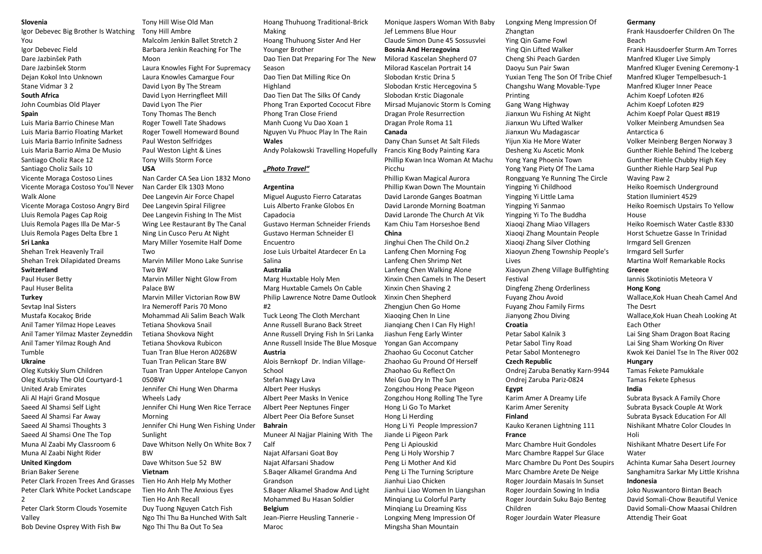#### **Slovenia**

Igor Debevec Big Brother Is Watching You

Igor Debevec Field Dare Jazbinšek Path Dare Jazbinšek Storm Dejan Kokol Into Unknown Stane Vidmar 3 2

#### **South Africa**

John Coumbias Old Player **Spain** 

Luis Maria Barrio Chinese Man Luis Maria Barrio Floating Market Luis Maria Barrio Infinite Sadness Luis Maria Barrio Alma De Musio Santiago Choliz Race 12 Santiago Choliz Sails 10 Vicente Moraga Costoso Lines Vicente Moraga Costoso You'll Never Walk Alone

Vicente Moraga Costoso Angry Bird Lluis Remola Pages Cap Roig Lluis Remola Pages Illa De Mar-5 Lluis Remola Pages Delta Ebre 1 **Sri Lanka** 

Shehan Trek Heavenly Trail Shehan Trek Dilapidated Dreams **Switzerland** 

### Paul Huser Betty Paul Huser Belita

## **Turkey**

Sevtap Inal Sisters Mustafa Kocakoç Bride Anil Tamer Yilmaz Hope Leaves Anil Tamer Yilmaz Master Zeyneddin Anil Tamer Yilmaz Rough And Tumble

#### **Ukraine**

Oleg Kutskiy Slum Children Oleg Kutskiy The Old Courtyard-1 United Arab Emirates Ali Al Hajri Grand Mosque Saeed Al Shamsi Self Light Saeed Al Shamsi Far Away Saeed Al Shamsi Thoughts 3 Saeed Al Shamsi One The Top Muna Al Zaabi My Classroom 6 Muna Al Zaabi Night Rider **United Kingdom** 

#### Brian Baker Serene

Peter Clark Frozen Trees And Grasses Peter Clark White Pocket Landscape 2

Peter Clark Storm Clouds Yosemite Valley

Bob Devine Osprey With Fish Bw

Tony Hill Wise Old Man Tony Hill Ambre Malcolm Jenkin Ballet Stretch 2 Barbara Jenkin Reaching For The Moon Laura Knowles Fight For Supremacy Laura Knowles Camargue Four David Lyon By The Stream David Lyon Herringfleet Mill David Lyon The Pier Tony Thomas The Bench Roger Towell Tate Shadows Roger Towell Homeward Bound Paul Weston Selfridges Paul Weston Light & Lines Tony Wills Storm Force **USA**  Nan Carder CA Sea Lion 1832 Mono Nan Carder Elk 1303 Mono Dee Langevin Air Force Chapel Dee Langevin Spiral Filigree Dee Langevin Fishing In The Mist Wing Lee Restaurant By The Canal Ning Lin Cusco Peru At Night Mary Miller Yosemite Half Dome Two Marvin Miller Mono Lake Sunrise Two BW Marvin Miller Night Glow From Palace BW Marvin Miller Victorian Row BW Ira Nemeroff Paris 70 Mono Mohammad Ali Salim Beach Walk Tetiana Shovkova Snail Tetiana Shovkova Night Tetiana Shovkova Rubicon Tuan Tran Blue Heron A026BW Tuan Tran Pelican Stare BW Tuan Tran Upper Antelope Canyon 050BW Jennifer Chi Hung Wen Dharma Wheels Lady Jennifer Chi Hung Wen Rice Terrace Morning Jennifer Chi Hung Wen Fishing Under Sunlight Dave Whitson Nelly On White Box 7 BW Dave Whitson Sue 52 BW **Vietnam**  Tien Ho Anh Help My Mother Tien Ho Anh The Anxious Eyes Tien Ho Anh Recall

Duy Tuong Nguyen Catch Fish Ngo Thi Thu Ba Hunched With Salt Ngo Thi Thu Ba Out To Sea

Hoang Thuhuong Traditional-Brick Making Hoang Thuhuong Sister And Her Younger Brother Dao Tien Dat Preparing For The New Season Dao Tien Dat Milling Rice On Highland Dao Tien Dat The Silks Of Candy Phong Tran Exported Cococut Fibre Phong Tran Close Friend Manh Cuong Vu Dao Xoan 1 Nguyen Vu Phuoc Play In The Rain **Wales**  Andy Polakowski Travelling Hopefully

## *"Photo Travel"*

#### **Argentina**

Miguel Augusto Fierro Cataratas Luis Alberto Franke Globos En Capadocia Gustavo Herman Schneider Friends Gustavo Herman Schneider El Encuentro Jose Luis Urbaitel Atardecer En La

Salina **Australia**  Marg Huxtable Holy Men

Marg Huxtable Camels On Cable Philip Lawrence Notre Dame Outlook #2

Tuck Leong The Cloth Merchant Anne Russell Burano Back Street Anne Russell Drying Fish In Sri Lanka Anne Russell Inside The Blue Mosque

## **Austria**

Alois Bernkopf Dr. Indian Village-School

Stefan Nagy Lava Albert Peer Huskys

Albert Peer Masks In Venice Albert Peer Neptunes Finger Albert Peer Oia Before Sunset

**Bahrain** 

Muneer Al Najjar Plaining With The Calf Najat Alfarsani Goat Boy Najat Alfarsani Shadow S.Baqer Alkamel Grandma And Grandson S.Baqer Alkamel Shadow And Light Mohammed Bu Hasan Soldier **Belgium** 

Jean-Pierre Heusling Tannerie - Maroc

Monique Jaspers Woman With Baby Jef Lemmens Blue Hour Claude Simon Dune 45 Sossusvlei **Bosnia And Herzegovina**  Milorad Kascelan Shepherd 07 Milorad Kascelan Portrait 14 Slobodan Krstic Drina 5 Slobodan Krstic Hercegovina 5 Slobodan Krstic Diagonale Mirsad Mujanovic Storm Is Coming Dragan Prole Resurrection Dragan Prole Roma 11 **Canada** 

Dany Chan Sunset At Salt Fileds Francis King Body Painting Kara Phillip Kwan Inca Woman At Machu Picchu

Phillip Kwan Magical Aurora Phillip Kwan Down The Mountain David Laronde Ganges Boatman David Laronde Morning Boatman David Laronde The Church At Vik Kam Chiu Tam Horseshoe Bend **China** 

Jinghui Chen The Child On.2 Lanfeng Chen Morning Fog Lanfeng Chen Shrimp Net Lanfeng Chen Walking Alone Xinxin Chen Camels In The Desert Xinxin Chen Shaving 2 Xinxin Chen Shepherd Zhengjun Chen Go Home Xiaoqing Chen In Line Jianqiang Chen I Can Fly High! Jiashun Feng Early Winter Yongan Gan Accompany Zhaohao Gu Coconut Catcher Zhaohao Gu Pround Of Herself Zhaohao Gu Reflect On Mei Guo Dry In The Sun Zongzhou Hong Peace Pigeon Zongzhou Hong Rolling The Tyre Hong Li Go To Market Hong Li Herding Hong Li Yi People Impression7 Jiande Li Pigeon Park Peng Li Apiouskid Peng Li Holy Worship 7 Peng Li Mother And Kid Peng Li The Turning Scripture Jianhui Liao Chicken Jianhui Liao Women In Liangshan Minqiang Lu Colorful Party Minqiang Lu Dreaming Kiss Longxing Meng Impression Of Mingsha Shan Mountain

Longxing Meng Impression Of Zhangtan Ying Qin Game Fowl Ying Qin Lifted Walker Cheng Shi Peach Garden Daoyu Sun Pair Swan Yuxian Teng The Son Of Tribe Chief Changshu Wang Movable-Type Printing Gang Wang Highway Jianxun Wu Fishing At Night Jianxun Wu Lifted Walker Jianxun Wu Madagascar Yijun Xia He More Water Desheng Xu Ascetic Monk Yong Yang Phoenix Town Yong Yang Piety Of The Lama Rongguang Ye Running The Circle Yingping Yi Childhood Yingping Yi Little Lama Yingping Yi Sanmao Yingping Yi To The Buddha Xiaoqi Zhang Miao Villagers Xiaoqi Zhang Mountain People Xiaoqi Zhang Silver Clothing Xiaoyun Zheng Township People's Lives Xiaoyun Zheng Village Bullfighting Festival Dingfeng Zheng Orderliness Fuyang Zhou Avoid Fuyang Zhou Family Firms Jianyong Zhou Diving **Croatia**  Petar Sabol Kalnik 3 Petar Sabol Tiny Road Petar Sabol Montenegro **Czech Republic**  Ondrej Zaruba Benatky Karn-9944 Ondrej Zaruba Pariz-0824 **Egypt**  Karim Amer A Dreamy Life Karim Amer Serenity **Finland**  Kauko Keranen Lightning 111 **France**  Marc Chambre Huit Gondoles Marc Chambre Rappel Sur Glace Marc Chambre Du Pont Des Soupirs Marc Chambre Arete De Neige Roger Jourdain Masais In Sunset Roger Jourdain Sowing In India Roger Jourdain Suku Bajo Benteg Children

#### Roger Jourdain Water Pleasure

**Germany** 

Frank Hausdoerfer Children On The Beach Frank Hausdoerfer Sturm Am Torres Manfred Kluger Live Simply Manfred Kluger Evening Ceremony-1 Manfred Kluger Tempelbesuch-1 Manfred Kluger Inner Peace Achim Koepf Lofoten #26 Achim Koepf Lofoten #29 Achim Koepf Polar Quest #819 Volker Meinberg Amundsen Sea Antarctica 6 Volker Meinberg Bergen Norway 3 Gunther Riehle Behind The Iceberg Gunther Riehle Chubby High Key Gunther Riehle Harp Seal Pup Waving Paw 2 Heiko Roemisch Underground Station Iluminiert 4529 Heiko Roemisch Upstairs To Yellow House Heiko Roemisch Water Castle 8330 Horst Schuetze Gasse In Trinidad Irmgard Sell Grenzen Irmgard Sell Surfer Martina Wolf Remarkable Rocks **Greece**  Iannis Skotiniotis Meteora V **Hong Kong**  Wallace,Kok Huan Cheah Camel And The Desrt Wallace,Kok Huan Cheah Looking At Each Other Lai Sing Sham Dragon Boat Racing Lai Sing Sham Working On River

Kwok Kei Daniel Tse In The River 002

#### **Hungary**

Tamas Fekete Pamukkale Tamas Fekete Ephesus **India** 

Subrata Bysack A Family Chore Subrata Bysack Couple At Work Subrata Bysack Education For All Nishikant Mhatre Color Cloudes In Holi

Nishikant Mhatre Desert Life For Water

Achinta Kumar Saha Desert Journey Sanghamitra Sarkar My Little Krishna **Indonesia** 

Joko Nuswantoro Bintan Beach David Somali-Chow Beautiful Venice David Somali-Chow Maasai Children Attendig Their Goat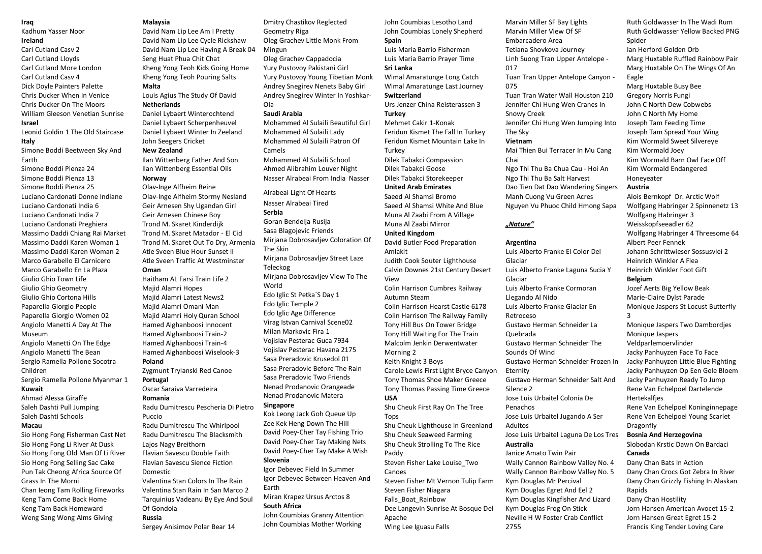### **Iraq**

Kadhum Yasser Noor

### **Ireland**

Carl Cutland Casv 2 Carl Cutland Lloyds Carl Cutland More London Carl Cutland Casv 4 Dick Doyle Painters Palette Chris Ducker When In Venice Chris Ducker On The Moors William Gleeson Venetian Sunrise

## **Israel**

Leonid Goldin 1 The Old Staircase **Italy** 

Simone Boddi Beetween Sky And Earth

Simone Boddi Pienza 24 Simone Boddi Pienza 13 Simone Boddi Pienza 25 Luciano Cardonati Donne Indiane Luciano Cardonati India 6 Luciano Cardonati India 7 Luciano Cardonati Preghiera Massimo Daddi Chiang Rai Market Massimo Daddi Karen Woman 1 Massimo Daddi Karen Woman 2 Marco Garabello El Carnicero Marco Garabello En La Plaza Giulio Ghio Town Life Giulio Ghio Geometry Giulio Ghio Cortona Hills Paparella Giorgio People Paparella Giorgio Women 02 Angiolo Manetti A Day At The

Museum Angiolo Manetti On The Edge Angiolo Manetti The Bean Sergio Ramella Pollone Socotra

Children Sergio Ramella Pollone Myanmar 1 **Kuwait** 

Ahmad Alessa Giraffe Saleh Dashti Pull Jumping Saleh Dashti Schools

## **Macau**

Sio Hong Fong Fisherman Cast Net Sio Hong Fong Li River At Dusk Sio Hong Fong Old Man Of Li River Sio Hong Fong Selling Sac Cake Pun Tak Cheong Africa Source Of Grass In The Morni Chan Ieong Tam Rolling Fireworks Keng Tam Come Back Home Keng Tam Back Homeward Weng Sang Wong Alms Giving

#### **Malaysia**

David Nam Lip Lee Am I Pretty David Nam Lip Lee Cycle Rickshaw David Nam Lip Lee Having A Break 04 Seng Huat Phua Chit Chat Kheng Yong Teoh Kids Going Home Kheng Yong Teoh Pouring Salts **Malta** 

Louis Agius The Study Of David **Netherlands** 

Daniel Lybaert Winterochtend Daniel Lybaert Scherpenheuvel Daniel Lybaert Winter In Zeeland John Seegers Cricket

## **New Zealand**

Ilan Wittenberg Father And Son Ilan Wittenberg Essential Oils **Norway** 

Olav-Inge Alfheim Reine Olav-Inge Alfheim Stormy Nesland Geir Arnesen Shy Ugandan Girl Geir Arnesen Chinese Boy Trond M. Skaret Kinderdijk Trond M. Skaret Matador - El Cid Trond M. Skaret Out To Dry, Armenia Atle Sveen Blue Hour Sunset II Atle Sveen Traffic At Westminster **Oman** 

Haitham AL Farsi Train Life 2 Majid Alamri Hopes Majid Alamri Latest News2 Majid Alamri Omani Man Majid Alamri Holy Quran School Hamed Alghanboosi Innocent Hamed Alghanboosi Train-2 Hamed Alghanboosi Train-4 Hamed Alghanboosi Wiselook-3 **Poland** 

## Zygmunt Trylanski Red Canoe

**Portugal**  Oscar Saraiva Varredeira

#### **Romania**

Radu Dumitrescu Pescheria Di Pietro Puccio

Radu Dumitrescu The Whirlpool Radu Dumitrescu The Blacksmith Lajos Nagy Breithorn Flavian Savescu Double Faith Flavian Savescu Sience Fiction Domestic Valentina Stan Colors In The Rain

Valentina Stan Rain In San Marco 2 Tarquinius Vadeanu By Eye And Soul Of Gondola **Russia** 

Sergey Anisimov Polar Bear 14

### Dmitry Chastikov Reglected Geometry Riga Oleg Grachev Little Monk From Mingun Oleg Grachev Cappadocia Yury Pustovoy Pakistani Girl Yury Pustovoy Young Tibetian Monk Andrey Snegirev Nenets Baby Girl Andrey Snegirev Winter In Yoshkar-

Ola **Saudi Arabia** 

Mohammed Al Sulaili Beautiful Girl Mohammed Al Sulaili Lady Mohammed Al Sulaili Patron Of Camels Mohammed Al Sulaili School Ahmed Alibrahim Louver Night Nasser Alrabeai From India Nasser

Alrabeai Light Of Hearts Nasser Alrabeai Tired **Serbia**  Goran Bendelja Rusija Sasa Blagojevic Friends Mirjana Dobrosavljev Coloration Of The Skin Mirjana Dobrosavljev Street Laze Teleckog Mirjana Dobrosavljev View To The World Edo Iglic St Petka`S Day 1 Edo Iglic Temple 2 Edo Iglic Age Difference Virag Istvan Carnival Scene02 Milan Markovic Fira 1 Vojislav Pesterac Guca 7934 Vojislav Pesterac Havana 2175 Sasa Preradovic Krusedol 01 Sasa Preradovic Before The Rain Sasa Preradovic Two Friends Nenad Prodanovic Orangeade Nenad Prodanovic Matera

#### **Singapore**

Kok Leong Jack Goh Queue Up Zee Kek Heng Down The Hill David Poey-Cher Tay Fishing Trio David Poey-Cher Tay Making Nets David Poey-Cher Tay Make A Wish **Slovenia** 

Igor Debevec Field In Summer Igor Debevec Between Heaven And Earth Miran Krapez Ursus Arctos 8

## **South Africa**

John Coumbias Granny Attention John Coumbias Mother Working

John Coumbias Lesotho Land John Coumbias Lonely Shepherd **Spain** 

Luis Maria Barrio Fisherman Luis Maria Barrio Prayer Time **Sri Lanka** 

Wimal Amaratunge Long Catch Wimal Amaratunge Last Journey **Switzerland**  Urs Jenzer China Reisterassen 3

**Turkey** 

Mehmet Cakir 1-Konak Feridun Kismet The Fall In Turkey Feridun Kismet Mountain Lake In **Turkey** 

Dilek Tabakci Compassion Dilek Tabakci Goose Dilek Tabakci Storekeeper **United Arab Emirates**  Saeed Al Shamsi Bromo Saeed Al Shamsi White And Blue

Muna Al Zaabi From A Village Muna Al Zaabi Mirror **United Kingdom**  David Butler Food Preparation

Amlakit Judith Cook Souter Lighthouse Calvin Downes 21st Century Desert View

Colin Harrison Cumbres Railway Autumn Steam Colin Harrison Hearst Castle 6178 Colin Harrison The Railway Family Tony Hill Bus On Tower Bridge Tony Hill Waiting For The Train Malcolm Jenkin Derwentwater Morning 2

Keith Knight 3 Boys Carole Lewis First Light Bryce Canyon Tony Thomas Shoe Maker Greece Tony Thomas Passing Time Greece

#### **USA**

Shu Cheuk First Ray On The Tree Tops

Shu Cheuk Lighthouse In Greenland Shu Cheuk Seaweed Farming Shu Cheuk Strolling To The Rice Paddy

Steven Fisher Lake Louise\_Two Canoes Steven Fisher Mt Vernon Tulip Farm Steven Fisher Niagara Falls\_Boat\_Rainbow Dee Langevin Sunrise At Bosque Del Apache

Wing Lee Iguasu Falls

Marvin Miller SF Bay Lights Marvin Miller View Of SF Embarcadero Area Tetiana Shovkova Journey Linh Suong Tran Upper Antelope - 017 Tuan Tran Upper Antelope Canyon - 075

Tuan Tran Water Wall Houston 210 Jennifer Chi Hung Wen Cranes In Snowy Creek

Jennifer Chi Hung Wen Jumping Into The Sky

## **Vietnam**

Mai Thien Bui Terracer In Mu Cang Chai Ngo Thi Thu Ba Chua Cau - Hoi An Ngo Thi Thu Ba Salt Harvest

Dao Tien Dat Dao Wandering Singers Manh Cuong Vu Green Acres Nguyen Vu Phuoc Child Hmong Sapa

### *"Nature"*

#### **Argentina**

2755

Luis Alberto Franke El Color Del Glaciar Luis Alberto Franke Laguna Sucia Y Glaciar Luis Alberto Franke Cormoran Llegando Al Nido Luis Alberto Franke Glaciar En Retroceso Gustavo Herman Schneider La Quebrada Gustavo Herman Schneider The Sounds Of Wind Gustavo Herman Schneider Frozen In Eternity Gustavo Herman Schneider Salt And Silence 2 Jose Luis Urbaitel Colonia De Penachos Jose Luis Urbaitel Jugando A Ser Adultos Jose Luis Urbaitel Laguna De Los Tres **Australia**  Janice Amato Twin Pair Wally Cannon Rainbow Valley No. 4 Wally Cannon Rainbow Valley No. 5 Kym Douglas Mr Percival Kym Douglas Egret And Eel 2 Kym Douglas Kingfisher And Lizard Kym Douglas Frog On Stick Neville H W Foster Crab Conflict

Ruth Goldwasser Yellow Backed PNG Spider Ian Herford Golden Orb Marg Huxtable Ruffled Rainbow Pair Marg Huxtable On The Wings Of An Eagle Marg Huxtable Busy Bee Gregory Norris Fungi John C North Dew Cobwebs John C North My Home Joseph Tam Feeding Time Joseph Tam Spread Your Wing Kim Wormald Sweet Silvereye Kim Wormald Joey Kim Wormald Barn Owl Face Off Kim Wormald Endangered Honeyeater

Ruth Goldwasser In The Wadi Rum

### **Austria**

Alois Bernkopf Dr. Arctic Wolf Wolfgang Habringer 2 Spinnenetz 13 Wolfgang Habringer 3 Weisskopfseeadler 62 Wolfgang Habringer 4 Threesome 64 Albert Peer Fennek Johann Schrittwieser Sossusvlei 2 Heinrich Winkler A Flea Heinrich Winkler Foot Gift **Belgium** 

Jozef Aerts Big Yellow Beak Marie-Claire Dylst Parade Monique Jaspers St Locust Butterfly 3

Monique Jaspers Two Dambordjes Monique Jaspers Veldparlemoervlinder Jacky Panhuyzen Face To Face Jacky Panhuyzen Little Blue Fighting Jacky Panhuyzen Op Een Gele Bloem Jacky Panhuyzen Ready To Jump Rene Van Echelpoel Dartelende **Hertekalfies** 

Rene Van Echelpoel Koninginnepage Rene Van Echelpoel Young Scarlet Dragonfly

### **Bosnia And Herzegovina**

Slobodan Krstic Dawn On Bardaci **Canada** 

Dany Chan Bats In Action Dany Chan Crocs Got Zebra In River Dany Chan Grizzly Fishing In Alaskan Rapids

Dany Chan Hostility Jorn Hansen American Avocet 15-2 Jorn Hansen Great Egret 15-2 Francis King Tender Loving Care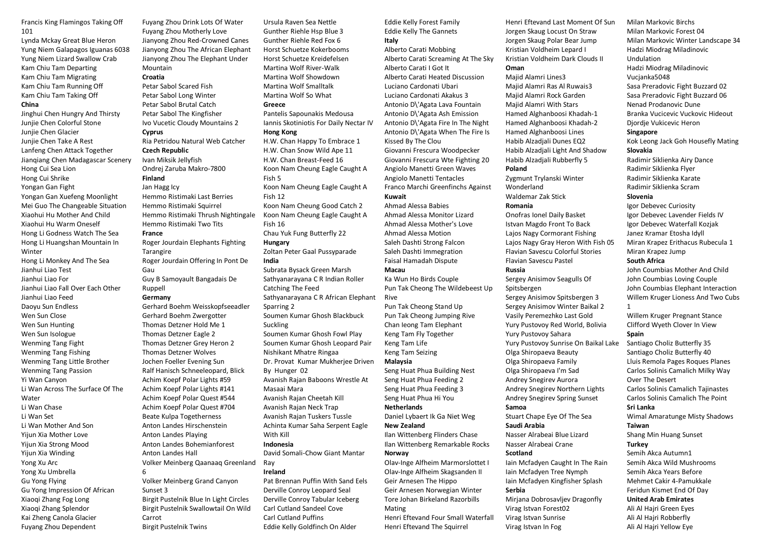Francis King Flamingos Taking Off 101

Lynda Mckay Great Blue Heron Yung Niem Galapagos Iguanas 6038 Yung Niem Lizard Swallow Crab Kam Chiu Tam Departing Kam Chiu Tam Migrating Kam Chiu Tam Running Off Kam Chiu Tam Taking Off

## **China**

Jinghui Chen Hungry And Thirsty Junjie Chen Colorful Stone Junjie Chen Glacier Junjie Chen Take A Rest Lanfeng Chen Attack Together Jianqiang Chen Madagascar Scenery Hong Cui Sea Lion Hong Cui Shrike Yongan Gan Fight Yongan Gan Xuefeng Moonlight Mei Guo The Changeable Situation Xiaohui Hu Mother And Child Xiaohui Hu Warm Oneself Hong Li Godness Watch The Sea Hong Li Huangshan Mountain In Winter Hong Li Monkey And The Sea Jianhui Liao Test Jianhui Liao For Jianhui Liao Fall Over Each Other Jianhui Liao Feed Daoyu Sun Endless Wen Sun Close Wen Sun Hunting Wen Sun Isologue Wenming Tang Fight Wenming Tang Fishing Wenming Tang Little Brother Wenming Tang Passion Yi Wan Canyon Li Wan Across The Surface Of The **Water** Li Wan Chase Li Wan Set Li Wan Mother And Son Yijun Xia Mother Love Yijun Xia Strong Mood Yijun Xia Winding Yong Xu Arc Yong Xu Umbrella Gu Yong Flying Gu Yong Impression Of African Xiaoqi Zhang Fog Long Xiaoqi Zhang Splendor Kai Zheng Canola Glacier Fuyang Zhou Dependent

Fuyang Zhou Drink Lots Of Water Fuyang Zhou Motherly Love Jianyong Zhou Red-Crowned Canes Jianyong Zhou The African Elephant Jianyong Zhou The Elephant Under Mountain **Croatia**  Petar Sabol Scared Fish Petar Sabol Long Winter Petar Sabol Brutal Catch Petar Sabol The Kingfisher Ivo Vucetic Cloudy Mountains 2 **Cyprus**  Ria Petridou Natural Web Catcher **Czech Republic**  Ivan Miksik Jellyfish Ondrej Zaruba Makro-7800 **Finland**  Jan Hagg Icy Hemmo Ristimaki Last Berries Hemmo Ristimaki Squirrel Hemmo Ristimaki Thrush Nightingale Hemmo Ristimaki Two Tits **France**  Roger Jourdain Elephants Fighting Tarangire Roger Jourdain Offering In Pont De Gau Guy B Samoyault Bangadais De Ruppell **Germany**  Gerhard Boehm Weisskopfseeadler Gerhard Boehm Zwergotter Thomas Detzner Hold Me 1 Thomas Detzner Eagle 2 Thomas Detzner Grey Heron 2 Thomas Detzner Wolves Jochen Foeller Evening Sun Ralf Hanisch Schneeleopard, Blick Achim Koepf Polar Lights #59 Achim Koepf Polar Lights #141 Achim Koepf Polar Quest #544 Achim Koepf Polar Quest #704 Beate Kulpa Togetherness Anton Landes Hirschenstein Anton Landes Playing Anton Landes Bohemianforest Anton Landes Hall Volker Meinberg Qaanaaq Greenland 6 Volker Meinberg Grand Canyon Sunset 3 Birgit Pustelnik Blue In Light Circles Birgit Pustelnik Swallowtail On Wild Carrot

Birgit Pustelnik Twins

## Ursula Raven Sea Nettle Gunther Riehle Hsp Blue 3 Gunther Riehle Red Fox 6 Horst Schuetze Kokerbooms Horst Schuetze Kreidefelsen Martina Wolf River-Walk Martina Wolf Showdown Martina Wolf Smalltalk Martina Wolf So What **Greece**

Pantelis Sapounakis Medousa Iannis Skotiniotis For Daily Nectar IV **Hong Kong** 

H.W. Chan Happy To Embrace 1 H.W. Chan Snow Wild Ape 11 H.W. Chan Breast-Feed 16 Koon Nam Cheung Eagle Caught A Fish 5 Koon Nam Cheung Eagle Caught A Fish 12 Koon Nam Cheung Good Catch 2 Koon Nam Cheung Eagle Caught A Fish 16 Chau Yuk Fung Butterfly 22 **Hungary**  Zoltan Peter Gaal Pussyparade **India**  Subrata Bysack Green Marsh Sathyanarayana C R Indian Roller Catching The Feed Sathyanarayana C R African Elephant Sparring 2 Soumen Kumar Ghosh Blackbuck Suckling

Soumen Kumar Ghosh Fowl Play Soumen Kumar Ghosh Leopard Pair Nishikant Mhatre Ringaa Dr. Provat Kumar Mukherjee Driven By Hunger 02 Avanish Rajan Baboons Wrestle At Masaai Mara Avanish Rajan Cheetah Kill Avanish Rajan Neck Trap Avanish Rajan Tuskers Tussle Achinta Kumar Saha Serpent Eagle With Kill **Indonesia**  David Somali-Chow Giant Mantar

#### Ray **Ireland**

Pat Brennan Puffin With Sand Eels Derville Conroy Leopard Seal Derville Conroy Tabular Iceberg Carl Cutland Sandeel Cove Carl Cutland Puffins Eddie Kelly Goldfinch On Alder

Eddie Kelly Forest Family Eddie Kelly The Gannets **Italy** 

Alberto Carati Mobbing Alberto Carati Screaming At The Sky Alberto Carati I Got It Alberto Carati Heated Discussion Luciano Cardonati Ubari Luciano Cardonati Akakus 3 Antonio D\'Agata Lava Fountain Antonio D\'Agata Ash Emission Antonio D\'Agata Fire In The Night Antonio D\'Agata When The Fire Is Kissed By The Clou Giovanni Frescura Woodpecker Giovanni Frescura Wte Fighting 20 Angiolo Manetti Green Waves Angiolo Manetti Tentacles Franco Marchi Greenfinchs Against **Kuwait** 

## Ahmad Alessa Babies

Ahmad Alessa Monitor Lizard Ahmad Alessa Mother's Love Ahmad Alessa Motion Saleh Dashti Strong Falcon Saleh Dashti Immegration Faisal Hamadah Dispute **Macau** 

Ka Wun Ho Birds Couple Pun Tak Cheong The Wildebeest Up Rive

Pun Tak Cheong Stand Up Pun Tak Cheong Jumping Rive Chan Ieong Tam Elephant Keng Tam Fly Together Keng Tam Life Keng Tam Seizing

#### **Malaysia**

Seng Huat Phua Building Nest Seng Huat Phua Feeding 2 Seng Huat Phua Feeding 3 Seng Huat Phua Hi You **Netherlands**  Daniel Lybaert Ik Ga Niet Weg

## **New Zealand**

Ilan Wittenberg Flinders Chase Ilan Wittenberg Remarkable Rocks

**Norway**  Olav-Inge Alfheim Marmorslottet I Olav-Inge Alfheim Skagsanden II Geir Arnesen The Hippo Geir Arnesen Norwegian Winter Tore Johan Birkeland Razorbills

Mating Henri Eftevand Four Small Waterfall Henri Eftevand The Squirrel

Henri Eftevand Last Moment Of Sun Jorgen Skaug Locust On Straw Jorgen Skaug Polar Bear Jump Kristian Voldheim Lepard I Kristian Voldheim Dark Clouds II

## **Oman**

Majid Alamri Lines3 Majid Alamri Ras Al Ruwais3 Majid Alamri Rock Garden Majid Alamri With Stars Hamed Alghanboosi Khadah-1 Hamed Alghanboosi Khadah-2 Hamed Alghanboosi Lines Habib Alzadjali Dunes EQ2 Habib Alzadjali Light And Shadow Habib Alzadjali Rubberfly 5

#### **Poland**

Zygmunt Trylanski Winter **Wonderland** Waldemar Zak Stick

## **Romania**

Onofras Ionel Daily Basket Istvan Magdo Front To Back Lajos Nagy Cormorant Fishing Lajos Nagy Gray Heron With Fish 05 Flavian Savescu Colorful Stories Flavian Savescu Pastel **Russia** 

Sergey Anisimov Seagulls Of Spitsbergen Sergey Anisimov Spitsbergen 3 Sergey Anisimov Winter Baikal 2 Vasily Peremezhko Last Gold Yury Pustovoy Red World, Bolivia

Yury Pustovoy Sahara Yury Pustovoy Sunrise On Baikal Lake

Olga Shiropaeva Beauty Olga Shiropaeva Family

- Olga Shiropaeva I'm Sad
- Andrey Snegirev Aurora Andrey Snegirev Northern Lights
- Andrey Snegirev Spring Sunset
- **Samoa**

Stuart Chape Eye Of The Sea **Saudi Arabia** 

Nasser Alrabeai Blue Lizard Nasser Alrabeai Crane **Scotland** 

Iain Mcfadyen Caught In The Rain Iain Mcfadyen Tree Nymph Iain Mcfadyen Kingfisher Splash **Serbia** 

Mirjana Dobrosavljev Dragonfly Virag Istvan Forest02 Virag Istvan Sunrise Virag Istvan In Fog

Milan Markovic Birchs Milan Markovic Forest 04 Milan Markovic Winter Landscape 34 Hadzi Miodrag Miladinovic Undulation Hadzi Miodrag Miladinovic Vucjanka5048 Sasa Preradovic Fight Buzzard 02 Sasa Preradovic Fight Buzzard 06 Nenad Prodanovic Dune Branka Vucicevic Vuckovic Hideout Djordje Vukicevic Heron **Singapore**  Kok Leong Jack Goh Housefly Mating

#### **Slovakia**

Radimir Siklienka Airy Dance Radimir Siklienka Flyer Radimir Siklienka Karate Radimir Siklienka Scram

#### **Slovenia**

Igor Debevec Curiosity Igor Debevec Lavender Fields IV Igor Debevec Waterfall Kozjak Janez Kramar Etosha Idyll Miran Krapez Erithacus Rubecula 1 Miran Krapez Jump

### **South Africa**

John Coumbias Mother And Child John Coumbias Loving Couple John Coumbias Elephant Interaction Willem Kruger Lioness And Two Cubs 1

Willem Kruger Pregnant Stance Clifford Wyeth Clover In View

### **Spain**

Santiago Choliz Butterfly 35 Santiago Choliz Butterfly 40 Lluis Remola Pages Roques Planes Carlos Solinis Camalich Milky Way Over The Desert Carlos Solinis Camalich Tajinastes Carlos Solinis Camalich The Point **Sri Lanka**  Wimal Amaratunge Misty Shadows

#### **Taiwan**

Shang Min Huang Sunset **Turkey**  Semih Akca Autumn1 Semih Akca Wild Mushrooms

Semih Akca Years Before Mehmet Cakir 4-Pamukkale Feridun Kismet End Of Day

## **United Arab Emirates**

Ali Al Hajri Green Eyes Ali Al Hajri Robberfly Ali Al Hajri Yellow Eye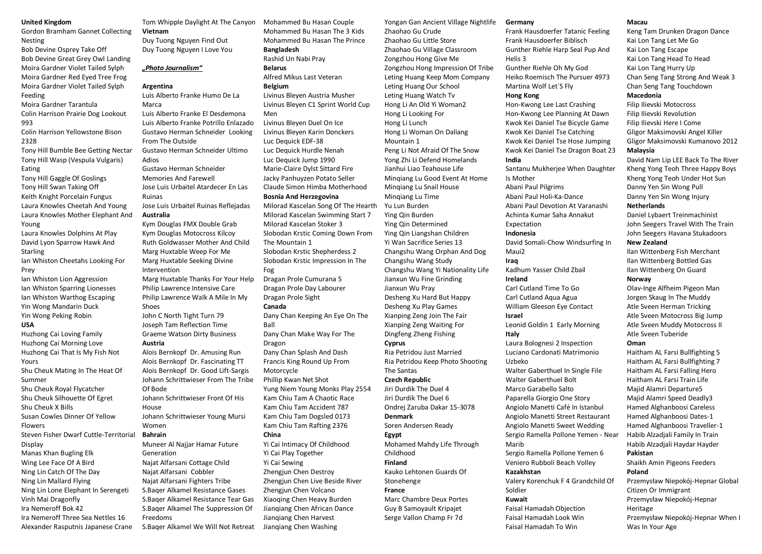#### **United Kingdom**

Gordon Bramham Gannet Collecting Nesting

Bob Devine Osprey Take Off Bob Devine Great Grey Owl Landing Moira Gardner Violet Tailed Sylph Moira Gardner Red Eyed Tree Frog Moira Gardner Violet Tailed Sylph Feeding

Moira Gardner Tarantula

Colin Harrison Prairie Dog Lookout 993

Colin Harrison Yellowstone Bison 2328

Tony Hill Bumble Bee Getting Nectar Tony Hill Wasp (Vespula Vulgaris) Eating

Tony Hill Gaggle Of Goslings Tony Hill Swan Taking Off Keith Knight Porcelain Fungus Laura Knowles Cheetah And Young Laura Knowles Mother Elephant And Young

Laura Knowles Dolphins At Play David Lyon Sparrow Hawk And Starling

Ian Whiston Cheetahs Looking For Prey

Ian Whiston Lion Aggression Ian Whiston Sparring Lionesses Ian Whiston Warthog Escaping Yin Wong Mandarin Duck Yin Wong Peking Robin

## **USA**

Huzhong Cai Loving Family Huzhong Cai Morning Love Huzhong Cai That Is My Fish Not Yours Shu Cheuk Mating In The Heat Of

Summer Shu Cheuk Royal Flycatcher

Shu Cheuk Silhouette Of Egret

Shu Cheuk X Bills Susan Cowles Dinner Of Yellow

Flowers

Steven Fisher Dwarf Cuttle-Territorial Display

Manas Khan Bugling Elk Wing Lee Face Of A Bird Ning Lin Catch Of The Day Ning Lin Mallard Flying Ning Lin Lone Elephant In Serengeti Vinh Mai Dragonfly Ira Nemeroff Bok 42 Ira Nemeroff Three Sea Nettles 16 Alexander Rasputnis Japanese Crane

#### Tom Whipple Daylight At The Canyon **Vietnam**

Duy Tuong Nguyen Find Out Duy Tuong Nguyen I Love You

## *"Photo Journalism"*

#### **Argentina**

Luis Alberto Franke Humo De La Marca Luis Alberto Franke El Desdemona Luis Alberto Franke Potrillo Enlazado Gustavo Herman Schneider Looking From The Outside Gustavo Herman Schneider Ultimo Adios Gustavo Herman Schneider Memories And Farewell Jose Luis Urbaitel Atardecer En Las Ruinas

Jose Luis Urbaitel Ruinas Reflejadas

## **Australia**

Kym Douglas FMX Double Grab Kym Douglas Motocross Kilcoy Ruth Goldwasser Mother And Child Marg Huxtable Weep For Me Marg Huxtable Seeking Divine Intervention

Marg Huxtable Thanks For Your Help Philip Lawrence Intensive Care Philip Lawrence Walk A Mile In My Shoes

John C North Tight Turn 79 Joseph Tam Reflection Time Graeme Watson Dirty Business **Austria** 

Alois Bernkopf Dr. Amusing Run Alois Bernkopf Dr. Fascinating TT Alois Bernkopf Dr. Good Lift-Sargis Johann Schrittwieser From The Tribe Of Bode Johann Schrittwieser Front Of His

House Johann Schrittwieser Young Mursi

Women

## **Bahrain**

Muneer Al Najjar Hamar Future Generation Najat Alfarsani Cottage Child Najat Alfarsani Cobbler Najat Alfarsani Fighters Tribe S.Baqer Alkamel Resistance Gases S.Baqer Alkamel Resistance Tear Gas S.Baqer Alkamel The Suppression Of Freedoms S.Baqer Alkamel We Will Not Retreat Mohammed Bu Hasan Couple Mohammed Bu Hasan The 3 Kids Mohammed Bu Hasan The Prince **Bangladesh**  Rashid Un Nabi Pray

**Belarus** 

Alfred Mikus Last Veteran **Belgium** 

Livinus Bleyen Austria Musher Livinus Bleyen C1 Sprint World Cup Men

Livinus Bleyen Duel On Ice Livinus Bleyen Karin Donckers Luc Dequick EDF-38 Luc Dequick Hurdle Nenah Luc Dequick Jump 1990 Marie-Claire Dylst Sittard Fire Jacky Panhuyzen Potato Seller Claude Simon Himba Motherhood

### **Bosnia And Herzegovina**

Milorad Kascelan Song Of The Hearth Milorad Kascelan Swimming Start 7 Milorad Kascelan Stoker 3 Slobodan Krstic Coming Down From The Mountain 1 Slobodan Krstic Shepherdess 2 Slobodan Krstic Impression In The

Fog Dragan Prole Cumurana 5

Dragan Prole Day Labourer Dragan Prole Sight **Canada**  Dany Chan Keeping An Eye On The Ball Dany Chan Make Way For The Dragon

Dany Chan Splash And Dash Francis King Round Up From Motorcycle Phillip Kwan Net Shot

Yung Niem Young Monks Play 2554 Kam Chiu Tam A Chaotic Race Kam Chiu Tam Accident 787 Kam Chiu Tam Dogsled 0173 Kam Chiu Tam Rafting 2376

#### **China**

Yi Cai Intimacy Of Childhood Yi Cai Play Together Yi Cai Sewing Zhengjun Chen Destroy Zhengjun Chen Live Beside River Zhengjun Chen Volcano Xiaoqing Chen Heavy Burden Jianqiang Chen African Dance Jianqiang Chen Harvest Jianqiang Chen Washing

Yongan Gan Ancient Village Nightlife Zhaohao Gu Crude Zhaohao Gu Little Store Zhaohao Gu Village Classroom Zongzhou Hong Give Me Zongzhou Hong Impression Of Tribe Leting Huang Keep Mom Company Leting Huang Our School Leting Huang Watch Tv Hong Li An Old Yi Woman2 Hong Li Looking For Hong Li Lunch Hong Li Woman On Daliang Mountain 1 Peng Li Not Afraid Of The Snow Yong Zhi Li Defend Homelands Jianhui Liao Teahouse Life Minqiang Lu Good Event At Home Minqiang Lu Snail House Minqiang Lu Time Yu Lun Burden Ying Qin Burden Ying Qin Determined Ying Qin Liangshan Children Yi Wan Sacrifice Series 13 Changshu Wang Orphan And Dog Changshu Wang Study Changshu Wang Yi Nationality Life Jianxun Wu Fine Grinding Jianxun Wu Pray Desheng Xu Hard But Happy Desheng Xu Play Games Xianping Zeng Join The Fair Xianping Zeng Waiting For Dingfeng Zheng Fishing **Cyprus**  Ria Petridou Just Married Ria Petridou Keep Photo Shooting The Santas **Czech Republic**  Jiri Durdik The Duel 4 Jiri Durdik The Duel 6 Ondrej Zaruba Dakar 15-3078 **Denmark**  Soren Andersen Ready **Egypt**  Mohamed Mahdy Life Through Childhood **Finland**  Kauko Lehtonen Guards Of Stonehenge **France**  Marc Chambre Deux Portes Guy B Samoyault Kripajet Serge Vallon Champ Fr 7d

#### **Germany**

Frank Hausdoerfer Tatanic Feeling Frank Hausdoerfer Biblisch Gunther Riehle Harp Seal Pup And Helis 3 Gunther Riehle Oh My God Heiko Roemisch The Pursuer 4973 Martina Wolf Let`S Fly **Hong Kong**  Hon-Kwong Lee Last Crashing Hon-Kwong Lee Planning At Dawn Kwok Kei Daniel Tse Bicycle Game Kwok Kei Daniel Tse Catching Kwok Kei Daniel Tse Hose Jumping Kwok Kei Daniel Tse Dragon Boat 23 **India**  Santanu Mukherjee When Daughter

Is Mother Abani Paul Pilgrims Abani Paul Holi-Ka-Dance Abani Paul Devotion At Varanashi

Achinta Kumar Saha Annakut

Expectation **Indonesia** 

David Somali-Chow Windsurfing In Maui2

#### **Iraq**

Kadhum Yasser Child Zbail **Ireland** 

Carl Cutland Time To Go Carl Cutland Aqua Agua William Gleeson Eye Contact **Israel** 

Leonid Goldin 1 Early Morning **Italy** 

Laura Bolognesi 2 Inspection Luciano Cardonati Matrimonio Uzbeko Walter Gaberthuel In Single File Walter Gaberthuel Bolt Marco Garabello Salto Paparella Giorgio One Story Angiolo Manetti Café In Istanbul Angiolo Manetti Street Restaurant Angiolo Manetti Sweet Wedding Sergio Ramella Pollone Yemen - Near Marib

Sergio Ramella Pollone Yemen 6 Veniero Rubboli Beach Volley

#### **Kazakhstan**

Valery Korenchuk F 4 Grandchild Of Soldier

#### **Kuwait**

Faisal Hamadah Objection Faisal Hamadah Look Win Faisal Hamadah To Win

### **Macau**

Keng Tam Drunken Dragon Dance Kai Lon Tang Let Me Go Kai Lon Tang Escape Kai Lon Tang Head To Head Kai Lon Tang Hurry Up Chan Seng Tang Strong And Weak 3 Chan Seng Tang Touchdown **Macedonia** 

Filip Ilievski Motocross Filip Ilievski Revolution Filip Ilievski Here I Come Gligor Maksimovski Angel Killer Gligor Maksimovski Kumanovo 2012 **Malaysia** 

David Nam Lip LEE Back To The River Kheng Yong Teoh Three Happy Boys Kheng Yong Teoh Under Hot Sun Danny Yen Sin Wong Pull Danny Yen Sin Wong Injury

## **Netherlands**

Daniel Lybaert Treinmachinist John Seegers Travel With The Train John Seegers Havana Stukadoors

#### **New Zealand**

Ilan Wittenberg Fish Merchant Ilan Wittenberg Bottled Gas Ilan Wittenberg On Guard

### **Norway**

Olav-Inge Alfheim Pigeon Man Jorgen Skaug In The Muddy Atle Sveen Herman Tricking Atle Sveen Motocross Big Jump Atle Sveen Muddy Motocross II Atle Sveen Tuberide **Oman** 

Haitham AL Farsi Bullfighting 5 Haitham AL Farsi Bullfighting 7 Haitham AL Farsi Falling Hero Haitham AL Farsi Train Life Majid Alamri Departure5 Majid Alamri Speed Deadly3 Hamed Alghanboosi Careless Hamed Alghanboosi Dates-1 Hamed Alghanboosi Traveller-1 Habib Alzadjali Family In Train Habib Alzadjali Haydar Hayder

#### **Pakistan**

Shaikh Amin Pigeons Feeders **Poland** 

Przemysław Niepokój-Hepnar Global Citizen Or Immigrant Przemysław Niepokój-Hepnar Heritage Przemysław Niepokój-Hepnar When I Was In Your Age